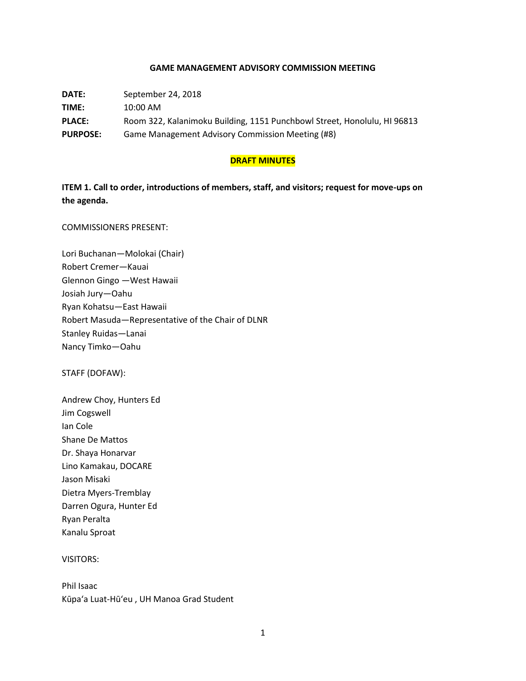### **GAME MANAGEMENT ADVISORY COMMISSION MEETING**

**DATE:** September 24, 2018 **TIME:** 10:00 AM **PLACE:** Room 322, Kalanimoku Building, 1151 Punchbowl Street, Honolulu, HI 96813 **PURPOSE:** Game Management Advisory Commission Meeting (#8)

### **DRAFT MINUTES**

**ITEM 1. Call to order, introductions of members, staff, and visitors; request for move-ups on the agenda.**

COMMISSIONERS PRESENT:

Lori Buchanan—Molokai (Chair) Robert Cremer—Kauai Glennon Gingo —West Hawaii Josiah Jury—Oahu Ryan Kohatsu—East Hawaii Robert Masuda—Representative of the Chair of DLNR Stanley Ruidas—Lanai Nancy Timko—Oahu

STAFF (DOFAW):

Andrew Choy, Hunters Ed Jim Cogswell Ian Cole Shane De Mattos Dr. Shaya Honarvar Lino Kamakau, DOCARE Jason Misaki Dietra Myers-Tremblay Darren Ogura, Hunter Ed Ryan Peralta Kanalu Sproat

VISITORS:

Phil Isaac Kūpa'a Luat-Hū'eu , UH Manoa Grad Student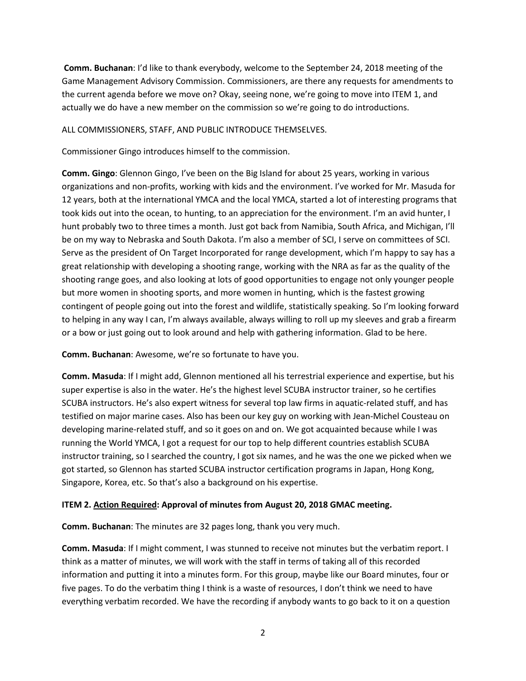**Comm. Buchanan**: I'd like to thank everybody, welcome to the September 24, 2018 meeting of the Game Management Advisory Commission. Commissioners, are there any requests for amendments to the current agenda before we move on? Okay, seeing none, we're going to move into ITEM 1, and actually we do have a new member on the commission so we're going to do introductions.

### ALL COMMISSIONERS, STAFF, AND PUBLIC INTRODUCE THEMSELVES.

Commissioner Gingo introduces himself to the commission.

**Comm. Gingo**: Glennon Gingo, I've been on the Big Island for about 25 years, working in various organizations and non-profits, working with kids and the environment. I've worked for Mr. Masuda for 12 years, both at the international YMCA and the local YMCA, started a lot of interesting programs that took kids out into the ocean, to hunting, to an appreciation for the environment. I'm an avid hunter, I hunt probably two to three times a month. Just got back from Namibia, South Africa, and Michigan, I'll be on my way to Nebraska and South Dakota. I'm also a member of SCI, I serve on committees of SCI. Serve as the president of On Target Incorporated for range development, which I'm happy to say has a great relationship with developing a shooting range, working with the NRA as far as the quality of the shooting range goes, and also looking at lots of good opportunities to engage not only younger people but more women in shooting sports, and more women in hunting, which is the fastest growing contingent of people going out into the forest and wildlife, statistically speaking. So I'm looking forward to helping in any way I can, I'm always available, always willing to roll up my sleeves and grab a firearm or a bow or just going out to look around and help with gathering information. Glad to be here.

**Comm. Buchanan**: Awesome, we're so fortunate to have you.

**Comm. Masuda**: If I might add, Glennon mentioned all his terrestrial experience and expertise, but his super expertise is also in the water. He's the highest level SCUBA instructor trainer, so he certifies SCUBA instructors. He's also expert witness for several top law firms in aquatic-related stuff, and has testified on major marine cases. Also has been our key guy on working with Jean-Michel Cousteau on developing marine-related stuff, and so it goes on and on. We got acquainted because while I was running the World YMCA, I got a request for our top to help different countries establish SCUBA instructor training, so I searched the country, I got six names, and he was the one we picked when we got started, so Glennon has started SCUBA instructor certification programs in Japan, Hong Kong, Singapore, Korea, etc. So that's also a background on his expertise.

### **ITEM 2. Action Required: Approval of minutes from August 20, 2018 GMAC meeting.**

**Comm. Buchanan**: The minutes are 32 pages long, thank you very much.

**Comm. Masuda**: If I might comment, I was stunned to receive not minutes but the verbatim report. I think as a matter of minutes, we will work with the staff in terms of taking all of this recorded information and putting it into a minutes form. For this group, maybe like our Board minutes, four or five pages. To do the verbatim thing I think is a waste of resources, I don't think we need to have everything verbatim recorded. We have the recording if anybody wants to go back to it on a question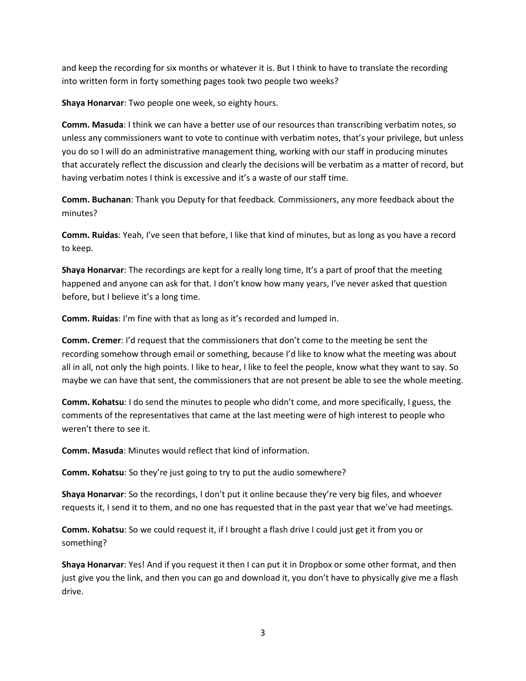and keep the recording for six months or whatever it is. But I think to have to translate the recording into written form in forty something pages took two people two weeks?

**Shaya Honarvar**: Two people one week, so eighty hours.

**Comm. Masuda**: I think we can have a better use of our resources than transcribing verbatim notes, so unless any commissioners want to vote to continue with verbatim notes, that's your privilege, but unless you do so I will do an administrative management thing, working with our staff in producing minutes that accurately reflect the discussion and clearly the decisions will be verbatim as a matter of record, but having verbatim notes I think is excessive and it's a waste of our staff time.

**Comm. Buchanan**: Thank you Deputy for that feedback. Commissioners, any more feedback about the minutes?

**Comm. Ruidas**: Yeah, I've seen that before, I like that kind of minutes, but as long as you have a record to keep.

**Shaya Honarvar**: The recordings are kept for a really long time, It's a part of proof that the meeting happened and anyone can ask for that. I don't know how many years, I've never asked that question before, but I believe it's a long time.

**Comm. Ruidas**: I'm fine with that as long as it's recorded and lumped in.

**Comm. Cremer**: I'd request that the commissioners that don't come to the meeting be sent the recording somehow through email or something, because I'd like to know what the meeting was about all in all, not only the high points. I like to hear, I like to feel the people, know what they want to say. So maybe we can have that sent, the commissioners that are not present be able to see the whole meeting.

**Comm. Kohatsu**: I do send the minutes to people who didn't come, and more specifically, I guess, the comments of the representatives that came at the last meeting were of high interest to people who weren't there to see it.

**Comm. Masuda**: Minutes would reflect that kind of information.

**Comm. Kohatsu**: So they're just going to try to put the audio somewhere?

**Shaya Honarvar**: So the recordings, I don't put it online because they're very big files, and whoever requests it, I send it to them, and no one has requested that in the past year that we've had meetings.

**Comm. Kohatsu**: So we could request it, if I brought a flash drive I could just get it from you or something?

**Shaya Honarvar**: Yes! And if you request it then I can put it in Dropbox or some other format, and then just give you the link, and then you can go and download it, you don't have to physically give me a flash drive.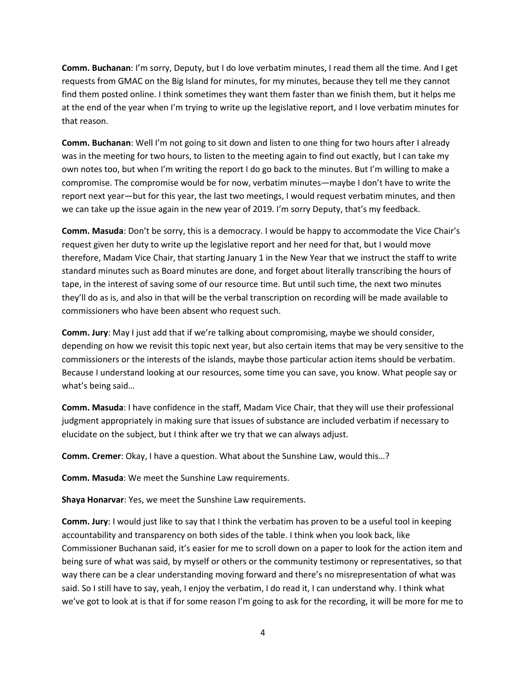**Comm. Buchanan**: I'm sorry, Deputy, but I do love verbatim minutes, I read them all the time. And I get requests from GMAC on the Big Island for minutes, for my minutes, because they tell me they cannot find them posted online. I think sometimes they want them faster than we finish them, but it helps me at the end of the year when I'm trying to write up the legislative report, and I love verbatim minutes for that reason.

**Comm. Buchanan**: Well I'm not going to sit down and listen to one thing for two hours after I already was in the meeting for two hours, to listen to the meeting again to find out exactly, but I can take my own notes too, but when I'm writing the report I do go back to the minutes. But I'm willing to make a compromise. The compromise would be for now, verbatim minutes—maybe I don't have to write the report next year—but for this year, the last two meetings, I would request verbatim minutes, and then we can take up the issue again in the new year of 2019. I'm sorry Deputy, that's my feedback.

**Comm. Masuda**: Don't be sorry, this is a democracy. I would be happy to accommodate the Vice Chair's request given her duty to write up the legislative report and her need for that, but I would move therefore, Madam Vice Chair, that starting January 1 in the New Year that we instruct the staff to write standard minutes such as Board minutes are done, and forget about literally transcribing the hours of tape, in the interest of saving some of our resource time. But until such time, the next two minutes they'll do as is, and also in that will be the verbal transcription on recording will be made available to commissioners who have been absent who request such.

**Comm. Jury**: May I just add that if we're talking about compromising, maybe we should consider, depending on how we revisit this topic next year, but also certain items that may be very sensitive to the commissioners or the interests of the islands, maybe those particular action items should be verbatim. Because I understand looking at our resources, some time you can save, you know. What people say or what's being said…

**Comm. Masuda**: I have confidence in the staff, Madam Vice Chair, that they will use their professional judgment appropriately in making sure that issues of substance are included verbatim if necessary to elucidate on the subject, but I think after we try that we can always adjust.

**Comm. Cremer**: Okay, I have a question. What about the Sunshine Law, would this…?

**Comm. Masuda**: We meet the Sunshine Law requirements.

**Shaya Honarvar**: Yes, we meet the Sunshine Law requirements.

**Comm. Jury**: I would just like to say that I think the verbatim has proven to be a useful tool in keeping accountability and transparency on both sides of the table. I think when you look back, like Commissioner Buchanan said, it's easier for me to scroll down on a paper to look for the action item and being sure of what was said, by myself or others or the community testimony or representatives, so that way there can be a clear understanding moving forward and there's no misrepresentation of what was said. So I still have to say, yeah, I enjoy the verbatim, I do read it, I can understand why. I think what we've got to look at is that if for some reason I'm going to ask for the recording, it will be more for me to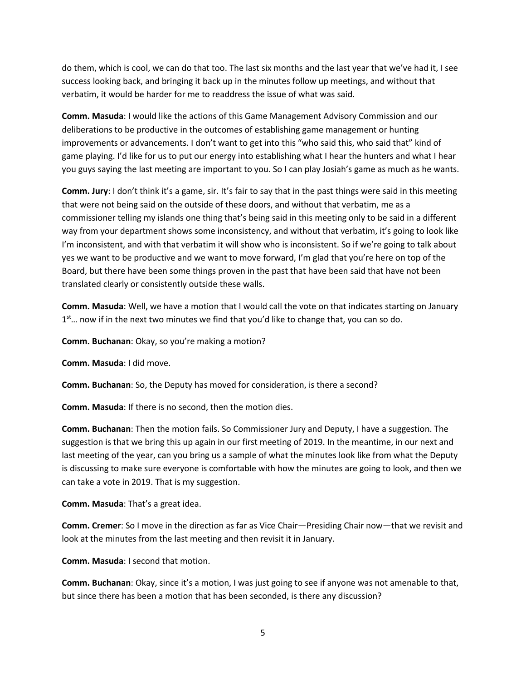do them, which is cool, we can do that too. The last six months and the last year that we've had it, I see success looking back, and bringing it back up in the minutes follow up meetings, and without that verbatim, it would be harder for me to readdress the issue of what was said.

**Comm. Masuda**: I would like the actions of this Game Management Advisory Commission and our deliberations to be productive in the outcomes of establishing game management or hunting improvements or advancements. I don't want to get into this "who said this, who said that" kind of game playing. I'd like for us to put our energy into establishing what I hear the hunters and what I hear you guys saying the last meeting are important to you. So I can play Josiah's game as much as he wants.

**Comm. Jury**: I don't think it's a game, sir. It's fair to say that in the past things were said in this meeting that were not being said on the outside of these doors, and without that verbatim, me as a commissioner telling my islands one thing that's being said in this meeting only to be said in a different way from your department shows some inconsistency, and without that verbatim, it's going to look like I'm inconsistent, and with that verbatim it will show who is inconsistent. So if we're going to talk about yes we want to be productive and we want to move forward, I'm glad that you're here on top of the Board, but there have been some things proven in the past that have been said that have not been translated clearly or consistently outside these walls.

**Comm. Masuda**: Well, we have a motion that I would call the vote on that indicates starting on January 1<sup>st</sup>... now if in the next two minutes we find that you'd like to change that, you can so do.

**Comm. Buchanan**: Okay, so you're making a motion?

**Comm. Masuda**: I did move.

**Comm. Buchanan**: So, the Deputy has moved for consideration, is there a second?

**Comm. Masuda**: If there is no second, then the motion dies.

**Comm. Buchanan**: Then the motion fails. So Commissioner Jury and Deputy, I have a suggestion. The suggestion is that we bring this up again in our first meeting of 2019. In the meantime, in our next and last meeting of the year, can you bring us a sample of what the minutes look like from what the Deputy is discussing to make sure everyone is comfortable with how the minutes are going to look, and then we can take a vote in 2019. That is my suggestion.

**Comm. Masuda**: That's a great idea.

**Comm. Cremer**: So I move in the direction as far as Vice Chair—Presiding Chair now—that we revisit and look at the minutes from the last meeting and then revisit it in January.

**Comm. Masuda**: I second that motion.

**Comm. Buchanan**: Okay, since it's a motion, I was just going to see if anyone was not amenable to that, but since there has been a motion that has been seconded, is there any discussion?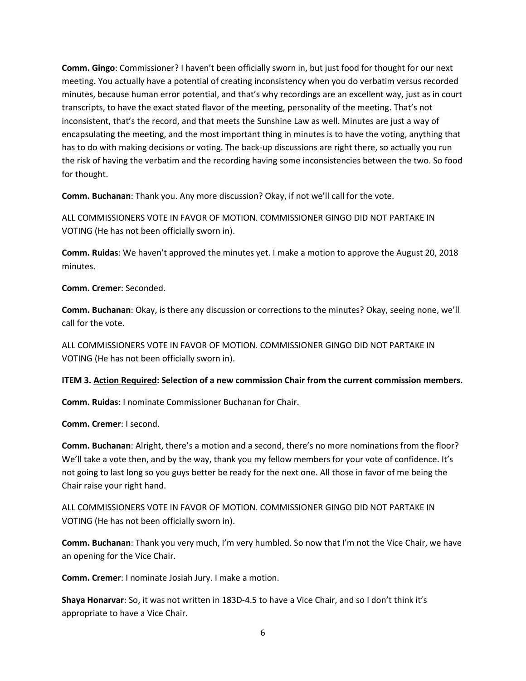**Comm. Gingo**: Commissioner? I haven't been officially sworn in, but just food for thought for our next meeting. You actually have a potential of creating inconsistency when you do verbatim versus recorded minutes, because human error potential, and that's why recordings are an excellent way, just as in court transcripts, to have the exact stated flavor of the meeting, personality of the meeting. That's not inconsistent, that's the record, and that meets the Sunshine Law as well. Minutes are just a way of encapsulating the meeting, and the most important thing in minutes is to have the voting, anything that has to do with making decisions or voting. The back-up discussions are right there, so actually you run the risk of having the verbatim and the recording having some inconsistencies between the two. So food for thought.

**Comm. Buchanan**: Thank you. Any more discussion? Okay, if not we'll call for the vote.

ALL COMMISSIONERS VOTE IN FAVOR OF MOTION. COMMISSIONER GINGO DID NOT PARTAKE IN VOTING (He has not been officially sworn in).

**Comm. Ruidas**: We haven't approved the minutes yet. I make a motion to approve the August 20, 2018 minutes.

**Comm. Cremer**: Seconded.

**Comm. Buchanan**: Okay, is there any discussion or corrections to the minutes? Okay, seeing none, we'll call for the vote.

ALL COMMISSIONERS VOTE IN FAVOR OF MOTION. COMMISSIONER GINGO DID NOT PARTAKE IN VOTING (He has not been officially sworn in).

### **ITEM 3. Action Required: Selection of a new commission Chair from the current commission members.**

**Comm. Ruidas**: I nominate Commissioner Buchanan for Chair.

**Comm. Cremer**: I second.

**Comm. Buchanan**: Alright, there's a motion and a second, there's no more nominations from the floor? We'll take a vote then, and by the way, thank you my fellow members for your vote of confidence. It's not going to last long so you guys better be ready for the next one. All those in favor of me being the Chair raise your right hand.

ALL COMMISSIONERS VOTE IN FAVOR OF MOTION. COMMISSIONER GINGO DID NOT PARTAKE IN VOTING (He has not been officially sworn in).

**Comm. Buchanan**: Thank you very much, I'm very humbled. So now that I'm not the Vice Chair, we have an opening for the Vice Chair.

**Comm. Cremer**: I nominate Josiah Jury. I make a motion.

**Shaya Honarvar**: So, it was not written in 183D-4.5 to have a Vice Chair, and so I don't think it's appropriate to have a Vice Chair.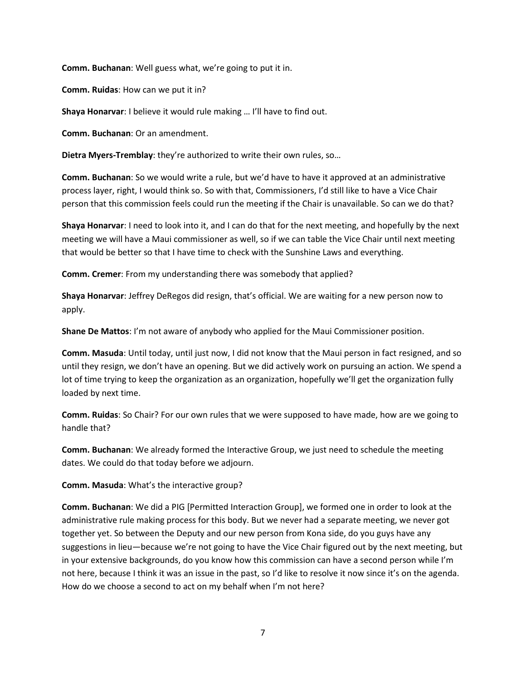**Comm. Buchanan**: Well guess what, we're going to put it in.

**Comm. Ruidas**: How can we put it in?

**Shaya Honarvar**: I believe it would rule making … I'll have to find out.

**Comm. Buchanan**: Or an amendment.

**Dietra Myers-Tremblay**: they're authorized to write their own rules, so…

**Comm. Buchanan**: So we would write a rule, but we'd have to have it approved at an administrative process layer, right, I would think so. So with that, Commissioners, I'd still like to have a Vice Chair person that this commission feels could run the meeting if the Chair is unavailable. So can we do that?

**Shaya Honarvar**: I need to look into it, and I can do that for the next meeting, and hopefully by the next meeting we will have a Maui commissioner as well, so if we can table the Vice Chair until next meeting that would be better so that I have time to check with the Sunshine Laws and everything.

**Comm. Cremer**: From my understanding there was somebody that applied?

**Shaya Honarvar**: Jeffrey DeRegos did resign, that's official. We are waiting for a new person now to apply.

**Shane De Mattos**: I'm not aware of anybody who applied for the Maui Commissioner position.

**Comm. Masuda**: Until today, until just now, I did not know that the Maui person in fact resigned, and so until they resign, we don't have an opening. But we did actively work on pursuing an action. We spend a lot of time trying to keep the organization as an organization, hopefully we'll get the organization fully loaded by next time.

**Comm. Ruidas**: So Chair? For our own rules that we were supposed to have made, how are we going to handle that?

**Comm. Buchanan**: We already formed the Interactive Group, we just need to schedule the meeting dates. We could do that today before we adjourn.

**Comm. Masuda**: What's the interactive group?

**Comm. Buchanan**: We did a PIG [Permitted Interaction Group], we formed one in order to look at the administrative rule making process for this body. But we never had a separate meeting, we never got together yet. So between the Deputy and our new person from Kona side, do you guys have any suggestions in lieu—because we're not going to have the Vice Chair figured out by the next meeting, but in your extensive backgrounds, do you know how this commission can have a second person while I'm not here, because I think it was an issue in the past, so I'd like to resolve it now since it's on the agenda. How do we choose a second to act on my behalf when I'm not here?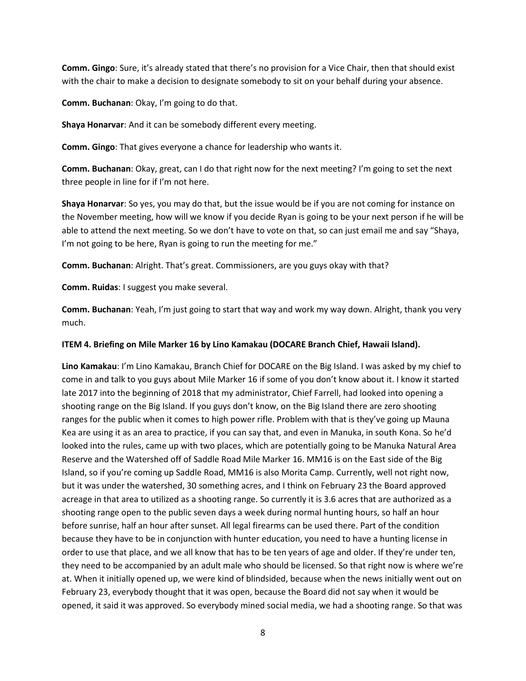**Comm. Gingo**: Sure, it's already stated that there's no provision for a Vice Chair, then that should exist with the chair to make a decision to designate somebody to sit on your behalf during your absence.

**Comm. Buchanan**: Okay, I'm going to do that.

**Shaya Honarvar**: And it can be somebody different every meeting.

**Comm. Gingo**: That gives everyone a chance for leadership who wants it.

**Comm. Buchanan**: Okay, great, can I do that right now for the next meeting? I'm going to set the next three people in line for if I'm not here.

**Shaya Honarvar**: So yes, you may do that, but the issue would be if you are not coming for instance on the November meeting, how will we know if you decide Ryan is going to be your next person if he will be able to attend the next meeting. So we don't have to vote on that, so can just email me and say "Shaya, I'm not going to be here, Ryan is going to run the meeting for me."

**Comm. Buchanan**: Alright. That's great. Commissioners, are you guys okay with that?

**Comm. Ruidas**: I suggest you make several.

**Comm. Buchanan**: Yeah, I'm just going to start that way and work my way down. Alright, thank you very much.

### **ITEM 4. Briefing on Mile Marker 16 by Lino Kamakau (DOCARE Branch Chief, Hawaii Island).**

**Lino Kamakau**: I'm Lino Kamakau, Branch Chief for DOCARE on the Big Island. I was asked by my chief to come in and talk to you guys about Mile Marker 16 if some of you don't know about it. I know it started late 2017 into the beginning of 2018 that my administrator, Chief Farrell, had looked into opening a shooting range on the Big Island. If you guys don't know, on the Big Island there are zero shooting ranges for the public when it comes to high power rifle. Problem with that is they've going up Mauna Kea are using it as an area to practice, if you can say that, and even in Manuka, in south Kona. So he'd looked into the rules, came up with two places, which are potentially going to be Manuka Natural Area Reserve and the Watershed off of Saddle Road Mile Marker 16. MM16 is on the East side of the Big Island, so if you're coming up Saddle Road, MM16 is also Morita Camp. Currently, well not right now, but it was under the watershed, 30 something acres, and I think on February 23 the Board approved acreage in that area to utilized as a shooting range. So currently it is 3.6 acres that are authorized as a shooting range open to the public seven days a week during normal hunting hours, so half an hour before sunrise, half an hour after sunset. All legal firearms can be used there. Part of the condition because they have to be in conjunction with hunter education, you need to have a hunting license in order to use that place, and we all know that has to be ten years of age and older. If they're under ten, they need to be accompanied by an adult male who should be licensed. So that right now is where we're at. When it initially opened up, we were kind of blindsided, because when the news initially went out on February 23, everybody thought that it was open, because the Board did not say when it would be opened, it said it was approved. So everybody mined social media, we had a shooting range. So that was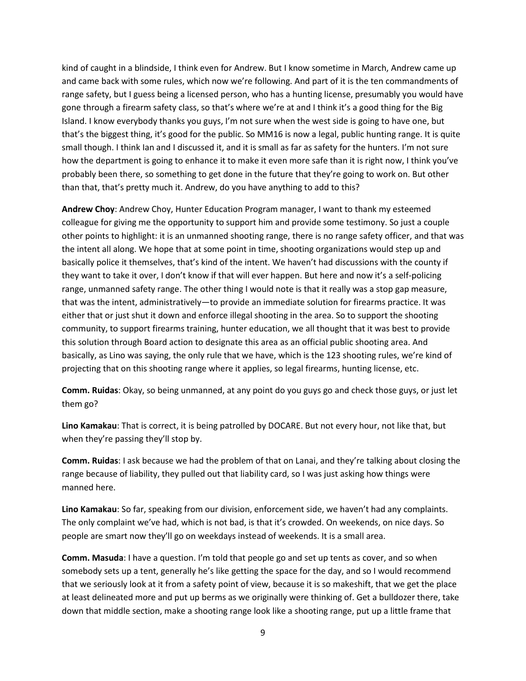kind of caught in a blindside, I think even for Andrew. But I know sometime in March, Andrew came up and came back with some rules, which now we're following. And part of it is the ten commandments of range safety, but I guess being a licensed person, who has a hunting license, presumably you would have gone through a firearm safety class, so that's where we're at and I think it's a good thing for the Big Island. I know everybody thanks you guys, I'm not sure when the west side is going to have one, but that's the biggest thing, it's good for the public. So MM16 is now a legal, public hunting range. It is quite small though. I think Ian and I discussed it, and it is small as far as safety for the hunters. I'm not sure how the department is going to enhance it to make it even more safe than it is right now, I think you've probably been there, so something to get done in the future that they're going to work on. But other than that, that's pretty much it. Andrew, do you have anything to add to this?

**Andrew Choy**: Andrew Choy, Hunter Education Program manager, I want to thank my esteemed colleague for giving me the opportunity to support him and provide some testimony. So just a couple other points to highlight: it is an unmanned shooting range, there is no range safety officer, and that was the intent all along. We hope that at some point in time, shooting organizations would step up and basically police it themselves, that's kind of the intent. We haven't had discussions with the county if they want to take it over, I don't know if that will ever happen. But here and now it's a self-policing range, unmanned safety range. The other thing I would note is that it really was a stop gap measure, that was the intent, administratively—to provide an immediate solution for firearms practice. It was either that or just shut it down and enforce illegal shooting in the area. So to support the shooting community, to support firearms training, hunter education, we all thought that it was best to provide this solution through Board action to designate this area as an official public shooting area. And basically, as Lino was saying, the only rule that we have, which is the 123 shooting rules, we're kind of projecting that on this shooting range where it applies, so legal firearms, hunting license, etc.

**Comm. Ruidas**: Okay, so being unmanned, at any point do you guys go and check those guys, or just let them go?

**Lino Kamakau**: That is correct, it is being patrolled by DOCARE. But not every hour, not like that, but when they're passing they'll stop by.

**Comm. Ruidas**: I ask because we had the problem of that on Lanai, and they're talking about closing the range because of liability, they pulled out that liability card, so I was just asking how things were manned here.

**Lino Kamakau**: So far, speaking from our division, enforcement side, we haven't had any complaints. The only complaint we've had, which is not bad, is that it's crowded. On weekends, on nice days. So people are smart now they'll go on weekdays instead of weekends. It is a small area.

**Comm. Masuda**: I have a question. I'm told that people go and set up tents as cover, and so when somebody sets up a tent, generally he's like getting the space for the day, and so I would recommend that we seriously look at it from a safety point of view, because it is so makeshift, that we get the place at least delineated more and put up berms as we originally were thinking of. Get a bulldozer there, take down that middle section, make a shooting range look like a shooting range, put up a little frame that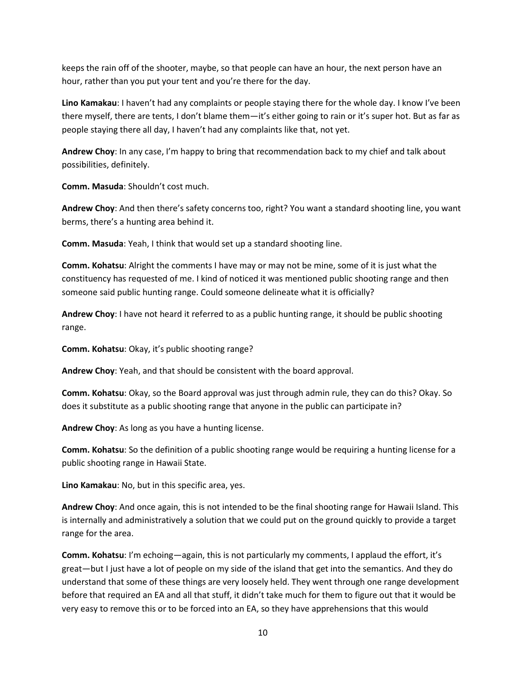keeps the rain off of the shooter, maybe, so that people can have an hour, the next person have an hour, rather than you put your tent and you're there for the day.

**Lino Kamakau**: I haven't had any complaints or people staying there for the whole day. I know I've been there myself, there are tents, I don't blame them—it's either going to rain or it's super hot. But as far as people staying there all day, I haven't had any complaints like that, not yet.

**Andrew Choy**: In any case, I'm happy to bring that recommendation back to my chief and talk about possibilities, definitely.

**Comm. Masuda**: Shouldn't cost much.

**Andrew Choy**: And then there's safety concerns too, right? You want a standard shooting line, you want berms, there's a hunting area behind it.

**Comm. Masuda**: Yeah, I think that would set up a standard shooting line.

**Comm. Kohatsu**: Alright the comments I have may or may not be mine, some of it is just what the constituency has requested of me. I kind of noticed it was mentioned public shooting range and then someone said public hunting range. Could someone delineate what it is officially?

**Andrew Choy**: I have not heard it referred to as a public hunting range, it should be public shooting range.

**Comm. Kohatsu**: Okay, it's public shooting range?

**Andrew Choy**: Yeah, and that should be consistent with the board approval.

**Comm. Kohatsu**: Okay, so the Board approval was just through admin rule, they can do this? Okay. So does it substitute as a public shooting range that anyone in the public can participate in?

**Andrew Choy**: As long as you have a hunting license.

**Comm. Kohatsu**: So the definition of a public shooting range would be requiring a hunting license for a public shooting range in Hawaii State.

**Lino Kamakau**: No, but in this specific area, yes.

**Andrew Choy**: And once again, this is not intended to be the final shooting range for Hawaii Island. This is internally and administratively a solution that we could put on the ground quickly to provide a target range for the area.

**Comm. Kohatsu**: I'm echoing—again, this is not particularly my comments, I applaud the effort, it's great—but I just have a lot of people on my side of the island that get into the semantics. And they do understand that some of these things are very loosely held. They went through one range development before that required an EA and all that stuff, it didn't take much for them to figure out that it would be very easy to remove this or to be forced into an EA, so they have apprehensions that this would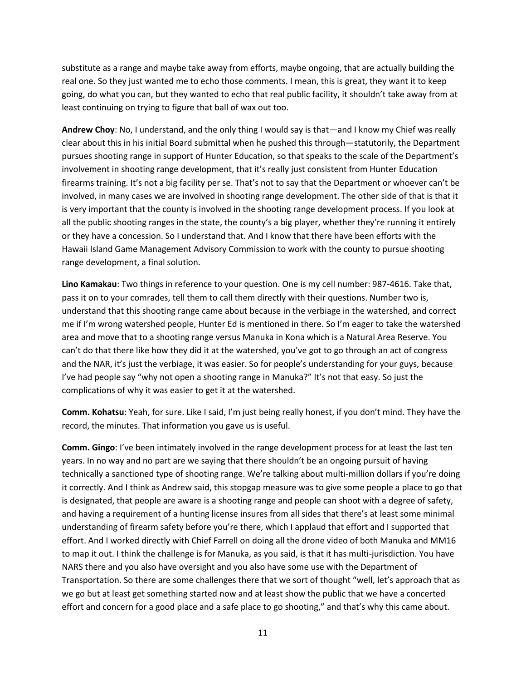substitute as a range and maybe take away from efforts, maybe ongoing, that are actually building the real one. So they just wanted me to echo those comments. I mean, this is great, they want it to keep going, do what you can, but they wanted to echo that real public facility, it shouldn't take away from at least continuing on trying to figure that ball of wax out too.

**Andrew Choy**: No, I understand, and the only thing I would say is that—and I know my Chief was really clear about this in his initial Board submittal when he pushed this through—statutorily, the Department pursues shooting range in support of Hunter Education, so that speaks to the scale of the Department's involvement in shooting range development, that it's really just consistent from Hunter Education firearms training. It's not a big facility per se. That's not to say that the Department or whoever can't be involved, in many cases we are involved in shooting range development. The other side of that is that it is very important that the county is involved in the shooting range development process. If you look at all the public shooting ranges in the state, the county's a big player, whether they're running it entirely or they have a concession. So I understand that. And I know that there have been efforts with the Hawaii Island Game Management Advisory Commission to work with the county to pursue shooting range development, a final solution.

**Lino Kamakau**: Two things in reference to your question. One is my cell number: 987-4616. Take that, pass it on to your comrades, tell them to call them directly with their questions. Number two is, understand that this shooting range came about because in the verbiage in the watershed, and correct me if I'm wrong watershed people, Hunter Ed is mentioned in there. So I'm eager to take the watershed area and move that to a shooting range versus Manuka in Kona which is a Natural Area Reserve. You can't do that there like how they did it at the watershed, you've got to go through an act of congress and the NAR, it's just the verbiage, it was easier. So for people's understanding for your guys, because I've had people say "why not open a shooting range in Manuka?" It's not that easy. So just the complications of why it was easier to get it at the watershed.

**Comm. Kohatsu**: Yeah, for sure. Like I said, I'm just being really honest, if you don't mind. They have the record, the minutes. That information you gave us is useful.

**Comm. Gingo**: I've been intimately involved in the range development process for at least the last ten years. In no way and no part are we saying that there shouldn't be an ongoing pursuit of having technically a sanctioned type of shooting range. We're talking about multi-million dollars if you're doing it correctly. And I think as Andrew said, this stopgap measure was to give some people a place to go that is designated, that people are aware is a shooting range and people can shoot with a degree of safety, and having a requirement of a hunting license insures from all sides that there's at least some minimal understanding of firearm safety before you're there, which I applaud that effort and I supported that effort. And I worked directly with Chief Farrell on doing all the drone video of both Manuka and MM16 to map it out. I think the challenge is for Manuka, as you said, is that it has multi-jurisdiction. You have NARS there and you also have oversight and you also have some use with the Department of Transportation. So there are some challenges there that we sort of thought "well, let's approach that as we go but at least get something started now and at least show the public that we have a concerted effort and concern for a good place and a safe place to go shooting," and that's why this came about.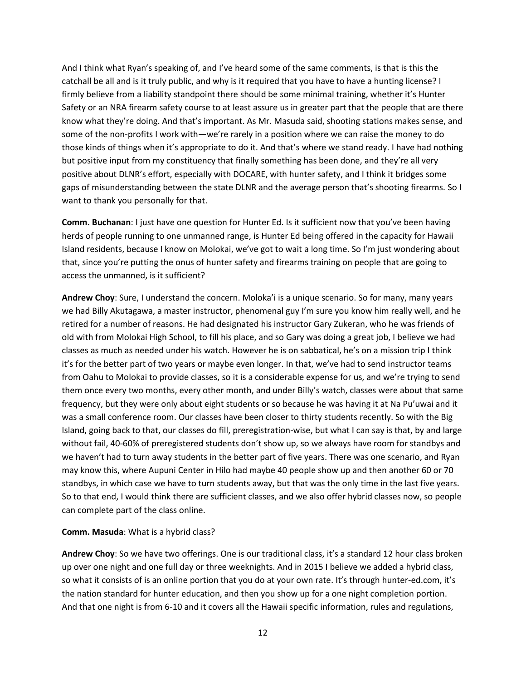And I think what Ryan's speaking of, and I've heard some of the same comments, is that is this the catchall be all and is it truly public, and why is it required that you have to have a hunting license? I firmly believe from a liability standpoint there should be some minimal training, whether it's Hunter Safety or an NRA firearm safety course to at least assure us in greater part that the people that are there know what they're doing. And that's important. As Mr. Masuda said, shooting stations makes sense, and some of the non-profits I work with—we're rarely in a position where we can raise the money to do those kinds of things when it's appropriate to do it. And that's where we stand ready. I have had nothing but positive input from my constituency that finally something has been done, and they're all very positive about DLNR's effort, especially with DOCARE, with hunter safety, and I think it bridges some gaps of misunderstanding between the state DLNR and the average person that's shooting firearms. So I want to thank you personally for that.

**Comm. Buchanan**: I just have one question for Hunter Ed. Is it sufficient now that you've been having herds of people running to one unmanned range, is Hunter Ed being offered in the capacity for Hawaii Island residents, because I know on Molokai, we've got to wait a long time. So I'm just wondering about that, since you're putting the onus of hunter safety and firearms training on people that are going to access the unmanned, is it sufficient?

**Andrew Choy**: Sure, I understand the concern. Moloka'i is a unique scenario. So for many, many years we had Billy Akutagawa, a master instructor, phenomenal guy I'm sure you know him really well, and he retired for a number of reasons. He had designated his instructor Gary Zukeran, who he was friends of old with from Molokai High School, to fill his place, and so Gary was doing a great job, I believe we had classes as much as needed under his watch. However he is on sabbatical, he's on a mission trip I think it's for the better part of two years or maybe even longer. In that, we've had to send instructor teams from Oahu to Molokai to provide classes, so it is a considerable expense for us, and we're trying to send them once every two months, every other month, and under Billy's watch, classes were about that same frequency, but they were only about eight students or so because he was having it at Na Pu'uwai and it was a small conference room. Our classes have been closer to thirty students recently. So with the Big Island, going back to that, our classes do fill, preregistration-wise, but what I can say is that, by and large without fail, 40-60% of preregistered students don't show up, so we always have room for standbys and we haven't had to turn away students in the better part of five years. There was one scenario, and Ryan may know this, where Aupuni Center in Hilo had maybe 40 people show up and then another 60 or 70 standbys, in which case we have to turn students away, but that was the only time in the last five years. So to that end, I would think there are sufficient classes, and we also offer hybrid classes now, so people can complete part of the class online.

#### **Comm. Masuda**: What is a hybrid class?

**Andrew Choy**: So we have two offerings. One is our traditional class, it's a standard 12 hour class broken up over one night and one full day or three weeknights. And in 2015 I believe we added a hybrid class, so what it consists of is an online portion that you do at your own rate. It's through hunter-ed.com, it's the nation standard for hunter education, and then you show up for a one night completion portion. And that one night is from 6-10 and it covers all the Hawaii specific information, rules and regulations,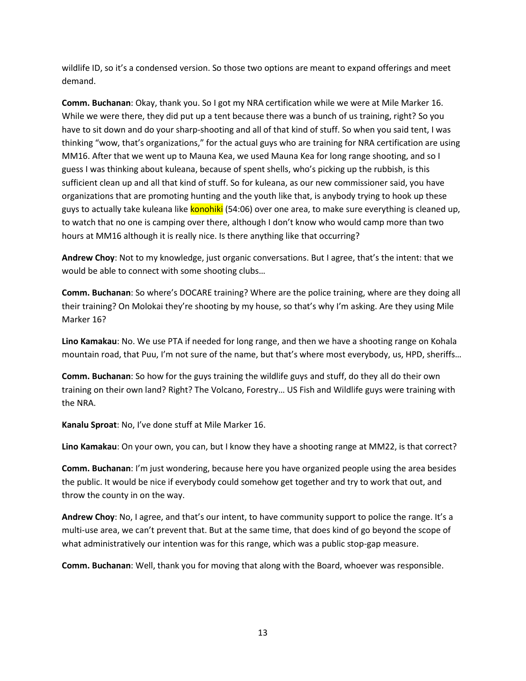wildlife ID, so it's a condensed version. So those two options are meant to expand offerings and meet demand.

**Comm. Buchanan**: Okay, thank you. So I got my NRA certification while we were at Mile Marker 16. While we were there, they did put up a tent because there was a bunch of us training, right? So you have to sit down and do your sharp-shooting and all of that kind of stuff. So when you said tent, I was thinking "wow, that's organizations," for the actual guys who are training for NRA certification are using MM16. After that we went up to Mauna Kea, we used Mauna Kea for long range shooting, and so I guess I was thinking about kuleana, because of spent shells, who's picking up the rubbish, is this sufficient clean up and all that kind of stuff. So for kuleana, as our new commissioner said, you have organizations that are promoting hunting and the youth like that, is anybody trying to hook up these guys to actually take kuleana like konohiki (54:06) over one area, to make sure everything is cleaned up, to watch that no one is camping over there, although I don't know who would camp more than two hours at MM16 although it is really nice. Is there anything like that occurring?

**Andrew Choy**: Not to my knowledge, just organic conversations. But I agree, that's the intent: that we would be able to connect with some shooting clubs…

**Comm. Buchanan**: So where's DOCARE training? Where are the police training, where are they doing all their training? On Molokai they're shooting by my house, so that's why I'm asking. Are they using Mile Marker 16?

**Lino Kamakau**: No. We use PTA if needed for long range, and then we have a shooting range on Kohala mountain road, that Puu, I'm not sure of the name, but that's where most everybody, us, HPD, sheriffs…

**Comm. Buchanan**: So how for the guys training the wildlife guys and stuff, do they all do their own training on their own land? Right? The Volcano, Forestry… US Fish and Wildlife guys were training with the NRA.

**Kanalu Sproat**: No, I've done stuff at Mile Marker 16.

**Lino Kamakau**: On your own, you can, but I know they have a shooting range at MM22, is that correct?

**Comm. Buchanan**: I'm just wondering, because here you have organized people using the area besides the public. It would be nice if everybody could somehow get together and try to work that out, and throw the county in on the way.

**Andrew Choy**: No, I agree, and that's our intent, to have community support to police the range. It's a multi-use area, we can't prevent that. But at the same time, that does kind of go beyond the scope of what administratively our intention was for this range, which was a public stop-gap measure.

**Comm. Buchanan**: Well, thank you for moving that along with the Board, whoever was responsible.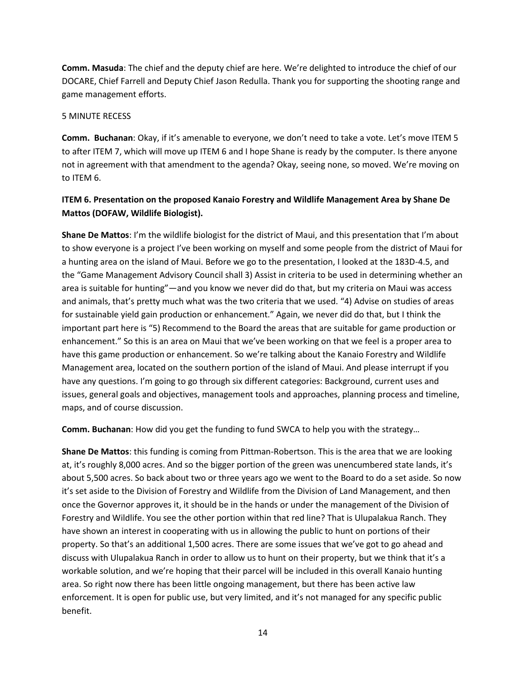**Comm. Masuda**: The chief and the deputy chief are here. We're delighted to introduce the chief of our DOCARE, Chief Farrell and Deputy Chief Jason Redulla. Thank you for supporting the shooting range and game management efforts.

### 5 MINUTE RECESS

**Comm. Buchanan**: Okay, if it's amenable to everyone, we don't need to take a vote. Let's move ITEM 5 to after ITEM 7, which will move up ITEM 6 and I hope Shane is ready by the computer. Is there anyone not in agreement with that amendment to the agenda? Okay, seeing none, so moved. We're moving on to ITEM 6.

## **ITEM 6. Presentation on the proposed Kanaio Forestry and Wildlife Management Area by Shane De Mattos (DOFAW, Wildlife Biologist).**

**Shane De Mattos**: I'm the wildlife biologist for the district of Maui, and this presentation that I'm about to show everyone is a project I've been working on myself and some people from the district of Maui for a hunting area on the island of Maui. Before we go to the presentation, I looked at the 183D-4.5, and the "Game Management Advisory Council shall 3) Assist in criteria to be used in determining whether an area is suitable for hunting"—and you know we never did do that, but my criteria on Maui was access and animals, that's pretty much what was the two criteria that we used. "4) Advise on studies of areas for sustainable yield gain production or enhancement." Again, we never did do that, but I think the important part here is "5) Recommend to the Board the areas that are suitable for game production or enhancement." So this is an area on Maui that we've been working on that we feel is a proper area to have this game production or enhancement. So we're talking about the Kanaio Forestry and Wildlife Management area, located on the southern portion of the island of Maui. And please interrupt if you have any questions. I'm going to go through six different categories: Background, current uses and issues, general goals and objectives, management tools and approaches, planning process and timeline, maps, and of course discussion.

**Comm. Buchanan**: How did you get the funding to fund SWCA to help you with the strategy…

**Shane De Mattos**: this funding is coming from Pittman-Robertson. This is the area that we are looking at, it's roughly 8,000 acres. And so the bigger portion of the green was unencumbered state lands, it's about 5,500 acres. So back about two or three years ago we went to the Board to do a set aside. So now it's set aside to the Division of Forestry and Wildlife from the Division of Land Management, and then once the Governor approves it, it should be in the hands or under the management of the Division of Forestry and Wildlife. You see the other portion within that red line? That is Ulupalakua Ranch. They have shown an interest in cooperating with us in allowing the public to hunt on portions of their property. So that's an additional 1,500 acres. There are some issues that we've got to go ahead and discuss with Ulupalakua Ranch in order to allow us to hunt on their property, but we think that it's a workable solution, and we're hoping that their parcel will be included in this overall Kanaio hunting area. So right now there has been little ongoing management, but there has been active law enforcement. It is open for public use, but very limited, and it's not managed for any specific public benefit.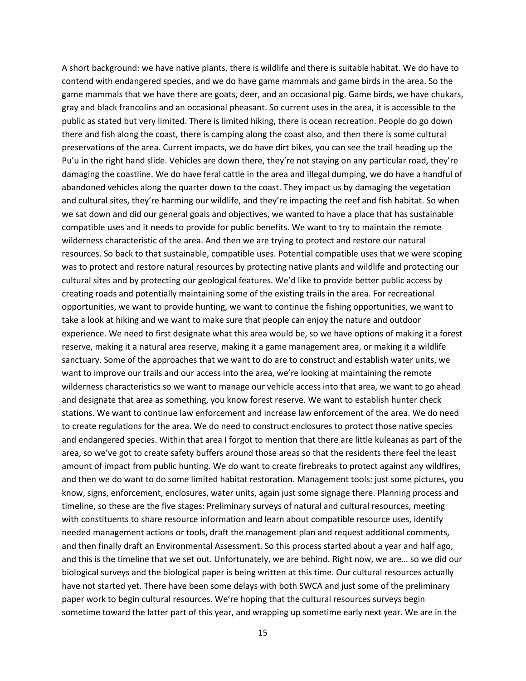A short background: we have native plants, there is wildlife and there is suitable habitat. We do have to contend with endangered species, and we do have game mammals and game birds in the area. So the game mammals that we have there are goats, deer, and an occasional pig. Game birds, we have chukars, gray and black francolins and an occasional pheasant. So current uses in the area, it is accessible to the public as stated but very limited. There is limited hiking, there is ocean recreation. People do go down there and fish along the coast, there is camping along the coast also, and then there is some cultural preservations of the area. Current impacts, we do have dirt bikes, you can see the trail heading up the Pu'u in the right hand slide. Vehicles are down there, they're not staying on any particular road, they're damaging the coastline. We do have feral cattle in the area and illegal dumping, we do have a handful of abandoned vehicles along the quarter down to the coast. They impact us by damaging the vegetation and cultural sites, they're harming our wildlife, and they're impacting the reef and fish habitat. So when we sat down and did our general goals and objectives, we wanted to have a place that has sustainable compatible uses and it needs to provide for public benefits. We want to try to maintain the remote wilderness characteristic of the area. And then we are trying to protect and restore our natural resources. So back to that sustainable, compatible uses. Potential compatible uses that we were scoping was to protect and restore natural resources by protecting native plants and wildlife and protecting our cultural sites and by protecting our geological features. We'd like to provide better public access by creating roads and potentially maintaining some of the existing trails in the area. For recreational opportunities, we want to provide hunting, we want to continue the fishing opportunities, we want to take a look at hiking and we want to make sure that people can enjoy the nature and outdoor experience. We need to first designate what this area would be, so we have options of making it a forest reserve, making it a natural area reserve, making it a game management area, or making it a wildlife sanctuary. Some of the approaches that we want to do are to construct and establish water units, we want to improve our trails and our access into the area, we're looking at maintaining the remote wilderness characteristics so we want to manage our vehicle access into that area, we want to go ahead and designate that area as something, you know forest reserve. We want to establish hunter check stations. We want to continue law enforcement and increase law enforcement of the area. We do need to create regulations for the area. We do need to construct enclosures to protect those native species and endangered species. Within that area I forgot to mention that there are little kuleanas as part of the area, so we've got to create safety buffers around those areas so that the residents there feel the least amount of impact from public hunting. We do want to create firebreaks to protect against any wildfires, and then we do want to do some limited habitat restoration. Management tools: just some pictures, you know, signs, enforcement, enclosures, water units, again just some signage there. Planning process and timeline, so these are the five stages: Preliminary surveys of natural and cultural resources, meeting with constituents to share resource information and learn about compatible resource uses, identify needed management actions or tools, draft the management plan and request additional comments, and then finally draft an Environmental Assessment. So this process started about a year and half ago, and this is the timeline that we set out. Unfortunately, we are behind. Right now, we are… so we did our biological surveys and the biological paper is being written at this time. Our cultural resources actually have not started yet. There have been some delays with both SWCA and just some of the preliminary paper work to begin cultural resources. We're hoping that the cultural resources surveys begin sometime toward the latter part of this year, and wrapping up sometime early next year. We are in the

15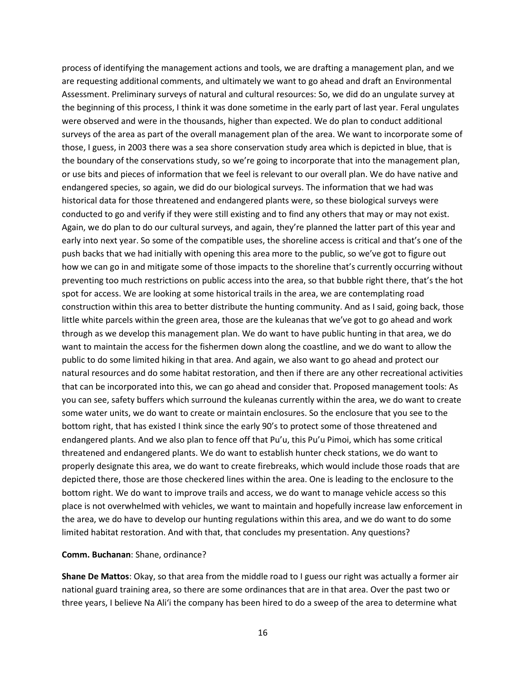process of identifying the management actions and tools, we are drafting a management plan, and we are requesting additional comments, and ultimately we want to go ahead and draft an Environmental Assessment. Preliminary surveys of natural and cultural resources: So, we did do an ungulate survey at the beginning of this process, I think it was done sometime in the early part of last year. Feral ungulates were observed and were in the thousands, higher than expected. We do plan to conduct additional surveys of the area as part of the overall management plan of the area. We want to incorporate some of those, I guess, in 2003 there was a sea shore conservation study area which is depicted in blue, that is the boundary of the conservations study, so we're going to incorporate that into the management plan, or use bits and pieces of information that we feel is relevant to our overall plan. We do have native and endangered species, so again, we did do our biological surveys. The information that we had was historical data for those threatened and endangered plants were, so these biological surveys were conducted to go and verify if they were still existing and to find any others that may or may not exist. Again, we do plan to do our cultural surveys, and again, they're planned the latter part of this year and early into next year. So some of the compatible uses, the shoreline access is critical and that's one of the push backs that we had initially with opening this area more to the public, so we've got to figure out how we can go in and mitigate some of those impacts to the shoreline that's currently occurring without preventing too much restrictions on public access into the area, so that bubble right there, that's the hot spot for access. We are looking at some historical trails in the area, we are contemplating road construction within this area to better distribute the hunting community. And as I said, going back, those little white parcels within the green area, those are the kuleanas that we've got to go ahead and work through as we develop this management plan. We do want to have public hunting in that area, we do want to maintain the access for the fishermen down along the coastline, and we do want to allow the public to do some limited hiking in that area. And again, we also want to go ahead and protect our natural resources and do some habitat restoration, and then if there are any other recreational activities that can be incorporated into this, we can go ahead and consider that. Proposed management tools: As you can see, safety buffers which surround the kuleanas currently within the area, we do want to create some water units, we do want to create or maintain enclosures. So the enclosure that you see to the bottom right, that has existed I think since the early 90's to protect some of those threatened and endangered plants. And we also plan to fence off that Pu'u, this Pu'u Pimoi, which has some critical threatened and endangered plants. We do want to establish hunter check stations, we do want to properly designate this area, we do want to create firebreaks, which would include those roads that are depicted there, those are those checkered lines within the area. One is leading to the enclosure to the bottom right. We do want to improve trails and access, we do want to manage vehicle access so this place is not overwhelmed with vehicles, we want to maintain and hopefully increase law enforcement in the area, we do have to develop our hunting regulations within this area, and we do want to do some limited habitat restoration. And with that, that concludes my presentation. Any questions?

#### **Comm. Buchanan**: Shane, ordinance?

**Shane De Mattos**: Okay, so that area from the middle road to I guess our right was actually a former air national guard training area, so there are some ordinances that are in that area. Over the past two or three years, I believe Na Ali'i the company has been hired to do a sweep of the area to determine what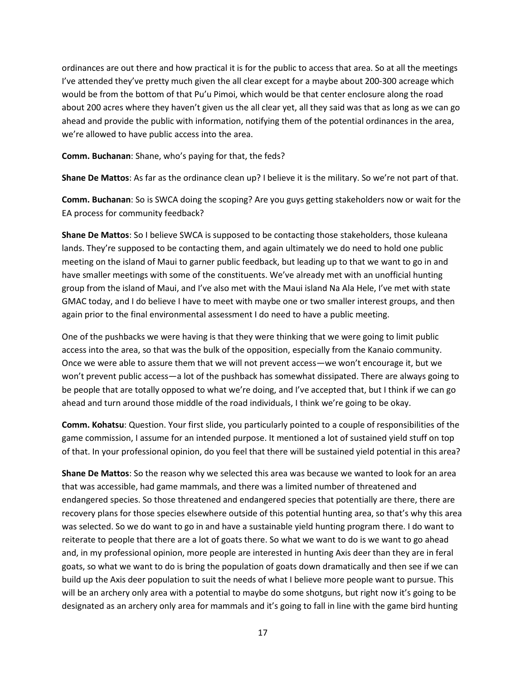ordinances are out there and how practical it is for the public to access that area. So at all the meetings I've attended they've pretty much given the all clear except for a maybe about 200-300 acreage which would be from the bottom of that Pu'u Pimoi, which would be that center enclosure along the road about 200 acres where they haven't given us the all clear yet, all they said was that as long as we can go ahead and provide the public with information, notifying them of the potential ordinances in the area, we're allowed to have public access into the area.

**Comm. Buchanan**: Shane, who's paying for that, the feds?

**Shane De Mattos**: As far as the ordinance clean up? I believe it is the military. So we're not part of that.

**Comm. Buchanan**: So is SWCA doing the scoping? Are you guys getting stakeholders now or wait for the EA process for community feedback?

**Shane De Mattos**: So I believe SWCA is supposed to be contacting those stakeholders, those kuleana lands. They're supposed to be contacting them, and again ultimately we do need to hold one public meeting on the island of Maui to garner public feedback, but leading up to that we want to go in and have smaller meetings with some of the constituents. We've already met with an unofficial hunting group from the island of Maui, and I've also met with the Maui island Na Ala Hele, I've met with state GMAC today, and I do believe I have to meet with maybe one or two smaller interest groups, and then again prior to the final environmental assessment I do need to have a public meeting.

One of the pushbacks we were having is that they were thinking that we were going to limit public access into the area, so that was the bulk of the opposition, especially from the Kanaio community. Once we were able to assure them that we will not prevent access—we won't encourage it, but we won't prevent public access—a lot of the pushback has somewhat dissipated. There are always going to be people that are totally opposed to what we're doing, and I've accepted that, but I think if we can go ahead and turn around those middle of the road individuals, I think we're going to be okay.

**Comm. Kohatsu**: Question. Your first slide, you particularly pointed to a couple of responsibilities of the game commission, I assume for an intended purpose. It mentioned a lot of sustained yield stuff on top of that. In your professional opinion, do you feel that there will be sustained yield potential in this area?

**Shane De Mattos**: So the reason why we selected this area was because we wanted to look for an area that was accessible, had game mammals, and there was a limited number of threatened and endangered species. So those threatened and endangered species that potentially are there, there are recovery plans for those species elsewhere outside of this potential hunting area, so that's why this area was selected. So we do want to go in and have a sustainable yield hunting program there. I do want to reiterate to people that there are a lot of goats there. So what we want to do is we want to go ahead and, in my professional opinion, more people are interested in hunting Axis deer than they are in feral goats, so what we want to do is bring the population of goats down dramatically and then see if we can build up the Axis deer population to suit the needs of what I believe more people want to pursue. This will be an archery only area with a potential to maybe do some shotguns, but right now it's going to be designated as an archery only area for mammals and it's going to fall in line with the game bird hunting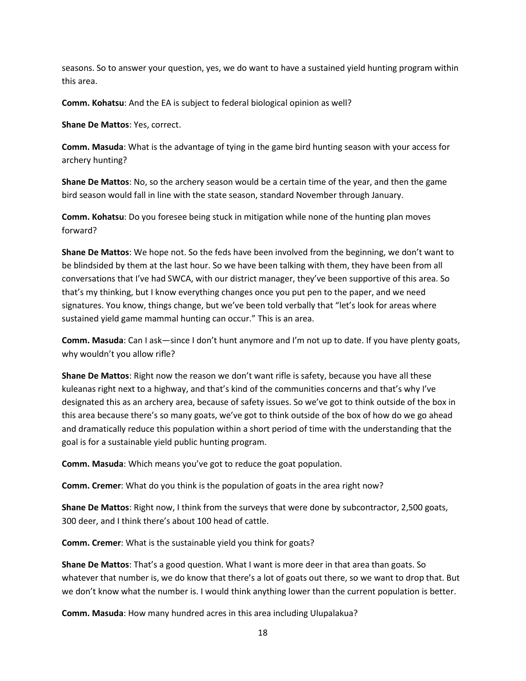seasons. So to answer your question, yes, we do want to have a sustained yield hunting program within this area.

**Comm. Kohatsu**: And the EA is subject to federal biological opinion as well?

**Shane De Mattos**: Yes, correct.

**Comm. Masuda**: What is the advantage of tying in the game bird hunting season with your access for archery hunting?

**Shane De Mattos**: No, so the archery season would be a certain time of the year, and then the game bird season would fall in line with the state season, standard November through January.

**Comm. Kohatsu**: Do you foresee being stuck in mitigation while none of the hunting plan moves forward?

**Shane De Mattos**: We hope not. So the feds have been involved from the beginning, we don't want to be blindsided by them at the last hour. So we have been talking with them, they have been from all conversations that I've had SWCA, with our district manager, they've been supportive of this area. So that's my thinking, but I know everything changes once you put pen to the paper, and we need signatures. You know, things change, but we've been told verbally that "let's look for areas where sustained yield game mammal hunting can occur." This is an area.

**Comm. Masuda**: Can I ask—since I don't hunt anymore and I'm not up to date. If you have plenty goats, why wouldn't you allow rifle?

**Shane De Mattos**: Right now the reason we don't want rifle is safety, because you have all these kuleanas right next to a highway, and that's kind of the communities concerns and that's why I've designated this as an archery area, because of safety issues. So we've got to think outside of the box in this area because there's so many goats, we've got to think outside of the box of how do we go ahead and dramatically reduce this population within a short period of time with the understanding that the goal is for a sustainable yield public hunting program.

**Comm. Masuda**: Which means you've got to reduce the goat population.

**Comm. Cremer**: What do you think is the population of goats in the area right now?

**Shane De Mattos**: Right now, I think from the surveys that were done by subcontractor, 2,500 goats, 300 deer, and I think there's about 100 head of cattle.

**Comm. Cremer**: What is the sustainable yield you think for goats?

**Shane De Mattos**: That's a good question. What I want is more deer in that area than goats. So whatever that number is, we do know that there's a lot of goats out there, so we want to drop that. But we don't know what the number is. I would think anything lower than the current population is better.

**Comm. Masuda**: How many hundred acres in this area including Ulupalakua?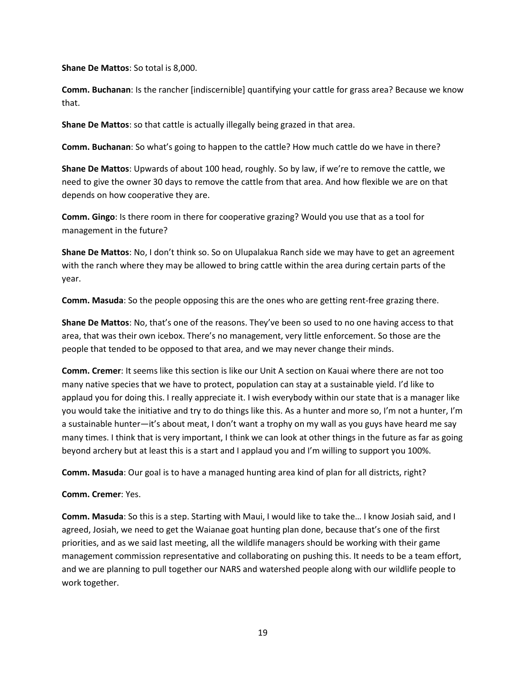**Shane De Mattos**: So total is 8,000.

**Comm. Buchanan**: Is the rancher [indiscernible] quantifying your cattle for grass area? Because we know that.

**Shane De Mattos**: so that cattle is actually illegally being grazed in that area.

**Comm. Buchanan**: So what's going to happen to the cattle? How much cattle do we have in there?

**Shane De Mattos**: Upwards of about 100 head, roughly. So by law, if we're to remove the cattle, we need to give the owner 30 days to remove the cattle from that area. And how flexible we are on that depends on how cooperative they are.

**Comm. Gingo**: Is there room in there for cooperative grazing? Would you use that as a tool for management in the future?

**Shane De Mattos**: No, I don't think so. So on Ulupalakua Ranch side we may have to get an agreement with the ranch where they may be allowed to bring cattle within the area during certain parts of the year.

**Comm. Masuda**: So the people opposing this are the ones who are getting rent-free grazing there.

**Shane De Mattos**: No, that's one of the reasons. They've been so used to no one having access to that area, that was their own icebox. There's no management, very little enforcement. So those are the people that tended to be opposed to that area, and we may never change their minds.

**Comm. Cremer**: It seems like this section is like our Unit A section on Kauai where there are not too many native species that we have to protect, population can stay at a sustainable yield. I'd like to applaud you for doing this. I really appreciate it. I wish everybody within our state that is a manager like you would take the initiative and try to do things like this. As a hunter and more so, I'm not a hunter, I'm a sustainable hunter—it's about meat, I don't want a trophy on my wall as you guys have heard me say many times. I think that is very important, I think we can look at other things in the future as far as going beyond archery but at least this is a start and I applaud you and I'm willing to support you 100%.

**Comm. Masuda**: Our goal is to have a managed hunting area kind of plan for all districts, right?

**Comm. Cremer**: Yes.

**Comm. Masuda**: So this is a step. Starting with Maui, I would like to take the… I know Josiah said, and I agreed, Josiah, we need to get the Waianae goat hunting plan done, because that's one of the first priorities, and as we said last meeting, all the wildlife managers should be working with their game management commission representative and collaborating on pushing this. It needs to be a team effort, and we are planning to pull together our NARS and watershed people along with our wildlife people to work together.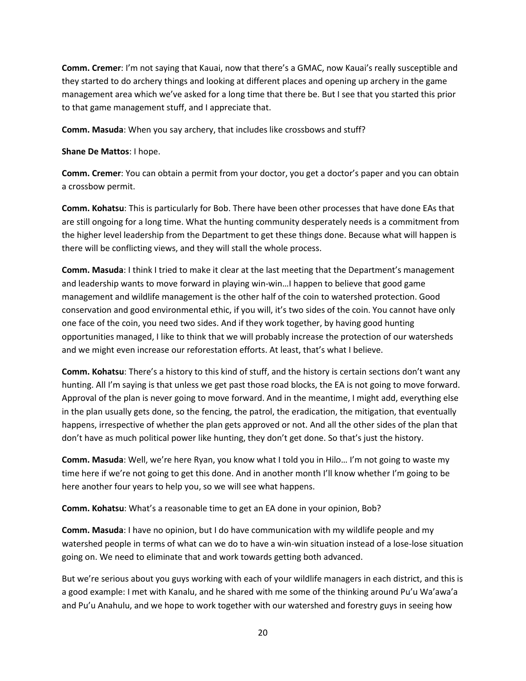**Comm. Cremer**: I'm not saying that Kauai, now that there's a GMAC, now Kauai's really susceptible and they started to do archery things and looking at different places and opening up archery in the game management area which we've asked for a long time that there be. But I see that you started this prior to that game management stuff, and I appreciate that.

**Comm. Masuda**: When you say archery, that includes like crossbows and stuff?

**Shane De Mattos**: I hope.

**Comm. Cremer**: You can obtain a permit from your doctor, you get a doctor's paper and you can obtain a crossbow permit.

**Comm. Kohatsu**: This is particularly for Bob. There have been other processes that have done EAs that are still ongoing for a long time. What the hunting community desperately needs is a commitment from the higher level leadership from the Department to get these things done. Because what will happen is there will be conflicting views, and they will stall the whole process.

**Comm. Masuda**: I think I tried to make it clear at the last meeting that the Department's management and leadership wants to move forward in playing win-win…I happen to believe that good game management and wildlife management is the other half of the coin to watershed protection. Good conservation and good environmental ethic, if you will, it's two sides of the coin. You cannot have only one face of the coin, you need two sides. And if they work together, by having good hunting opportunities managed, I like to think that we will probably increase the protection of our watersheds and we might even increase our reforestation efforts. At least, that's what I believe.

**Comm. Kohatsu**: There's a history to this kind of stuff, and the history is certain sections don't want any hunting. All I'm saying is that unless we get past those road blocks, the EA is not going to move forward. Approval of the plan is never going to move forward. And in the meantime, I might add, everything else in the plan usually gets done, so the fencing, the patrol, the eradication, the mitigation, that eventually happens, irrespective of whether the plan gets approved or not. And all the other sides of the plan that don't have as much political power like hunting, they don't get done. So that's just the history.

**Comm. Masuda**: Well, we're here Ryan, you know what I told you in Hilo… I'm not going to waste my time here if we're not going to get this done. And in another month I'll know whether I'm going to be here another four years to help you, so we will see what happens.

**Comm. Kohatsu**: What's a reasonable time to get an EA done in your opinion, Bob?

**Comm. Masuda**: I have no opinion, but I do have communication with my wildlife people and my watershed people in terms of what can we do to have a win-win situation instead of a lose-lose situation going on. We need to eliminate that and work towards getting both advanced.

But we're serious about you guys working with each of your wildlife managers in each district, and this is a good example: I met with Kanalu, and he shared with me some of the thinking around Pu'u Wa'awa'a and Pu'u Anahulu, and we hope to work together with our watershed and forestry guys in seeing how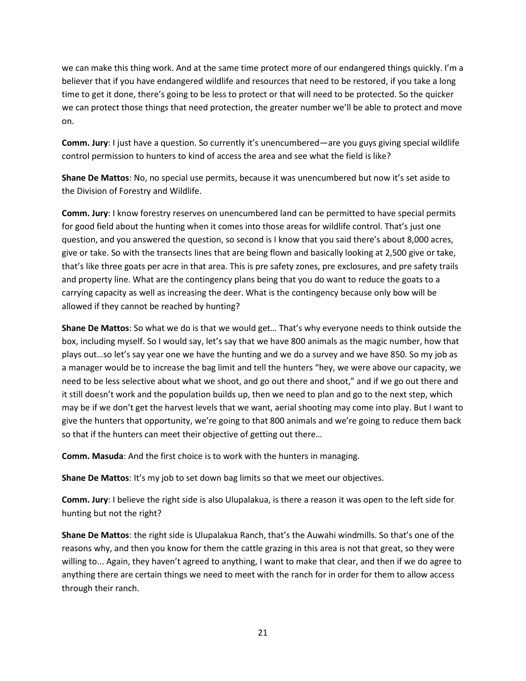we can make this thing work. And at the same time protect more of our endangered things quickly. I'm a believer that if you have endangered wildlife and resources that need to be restored, if you take a long time to get it done, there's going to be less to protect or that will need to be protected. So the quicker we can protect those things that need protection, the greater number we'll be able to protect and move on.

**Comm. Jury**: I just have a question. So currently it's unencumbered—are you guys giving special wildlife control permission to hunters to kind of access the area and see what the field is like?

**Shane De Mattos**: No, no special use permits, because it was unencumbered but now it's set aside to the Division of Forestry and Wildlife.

**Comm. Jury**: I know forestry reserves on unencumbered land can be permitted to have special permits for good field about the hunting when it comes into those areas for wildlife control. That's just one question, and you answered the question, so second is I know that you said there's about 8,000 acres, give or take. So with the transects lines that are being flown and basically looking at 2,500 give or take, that's like three goats per acre in that area. This is pre safety zones, pre exclosures, and pre safety trails and property line. What are the contingency plans being that you do want to reduce the goats to a carrying capacity as well as increasing the deer. What is the contingency because only bow will be allowed if they cannot be reached by hunting?

**Shane De Mattos**: So what we do is that we would get… That's why everyone needs to think outside the box, including myself. So I would say, let's say that we have 800 animals as the magic number, how that plays out…so let's say year one we have the hunting and we do a survey and we have 850. So my job as a manager would be to increase the bag limit and tell the hunters "hey, we were above our capacity, we need to be less selective about what we shoot, and go out there and shoot," and if we go out there and it still doesn't work and the population builds up, then we need to plan and go to the next step, which may be if we don't get the harvest levels that we want, aerial shooting may come into play. But I want to give the hunters that opportunity, we're going to that 800 animals and we're going to reduce them back so that if the hunters can meet their objective of getting out there…

**Comm. Masuda**: And the first choice is to work with the hunters in managing.

**Shane De Mattos**: It's my job to set down bag limits so that we meet our objectives.

**Comm. Jury**: I believe the right side is also Ulupalakua, is there a reason it was open to the left side for hunting but not the right?

**Shane De Mattos**: the right side is Ulupalakua Ranch, that's the Auwahi windmills. So that's one of the reasons why, and then you know for them the cattle grazing in this area is not that great, so they were willing to... Again, they haven't agreed to anything, I want to make that clear, and then if we do agree to anything there are certain things we need to meet with the ranch for in order for them to allow access through their ranch.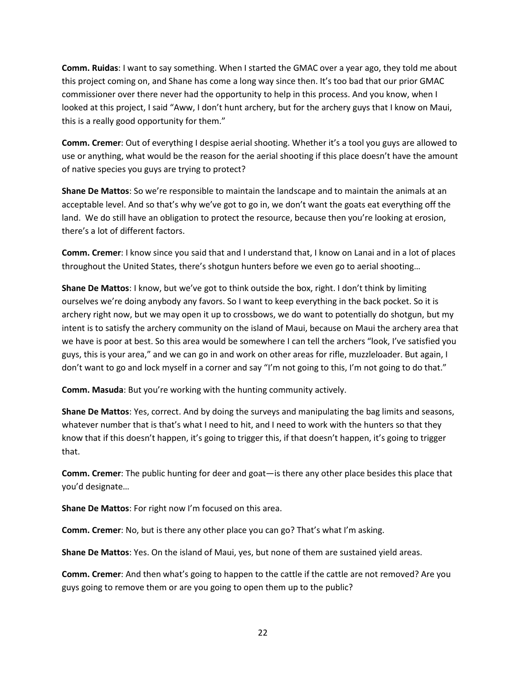**Comm. Ruidas**: I want to say something. When I started the GMAC over a year ago, they told me about this project coming on, and Shane has come a long way since then. It's too bad that our prior GMAC commissioner over there never had the opportunity to help in this process. And you know, when I looked at this project, I said "Aww, I don't hunt archery, but for the archery guys that I know on Maui, this is a really good opportunity for them."

**Comm. Cremer**: Out of everything I despise aerial shooting. Whether it's a tool you guys are allowed to use or anything, what would be the reason for the aerial shooting if this place doesn't have the amount of native species you guys are trying to protect?

**Shane De Mattos**: So we're responsible to maintain the landscape and to maintain the animals at an acceptable level. And so that's why we've got to go in, we don't want the goats eat everything off the land. We do still have an obligation to protect the resource, because then you're looking at erosion, there's a lot of different factors.

**Comm. Cremer**: I know since you said that and I understand that, I know on Lanai and in a lot of places throughout the United States, there's shotgun hunters before we even go to aerial shooting…

**Shane De Mattos**: I know, but we've got to think outside the box, right. I don't think by limiting ourselves we're doing anybody any favors. So I want to keep everything in the back pocket. So it is archery right now, but we may open it up to crossbows, we do want to potentially do shotgun, but my intent is to satisfy the archery community on the island of Maui, because on Maui the archery area that we have is poor at best. So this area would be somewhere I can tell the archers "look, I've satisfied you guys, this is your area," and we can go in and work on other areas for rifle, muzzleloader. But again, I don't want to go and lock myself in a corner and say "I'm not going to this, I'm not going to do that."

**Comm. Masuda**: But you're working with the hunting community actively.

**Shane De Mattos**: Yes, correct. And by doing the surveys and manipulating the bag limits and seasons, whatever number that is that's what I need to hit, and I need to work with the hunters so that they know that if this doesn't happen, it's going to trigger this, if that doesn't happen, it's going to trigger that.

**Comm. Cremer**: The public hunting for deer and goat—is there any other place besides this place that you'd designate…

**Shane De Mattos**: For right now I'm focused on this area.

**Comm. Cremer**: No, but is there any other place you can go? That's what I'm asking.

**Shane De Mattos**: Yes. On the island of Maui, yes, but none of them are sustained yield areas.

**Comm. Cremer**: And then what's going to happen to the cattle if the cattle are not removed? Are you guys going to remove them or are you going to open them up to the public?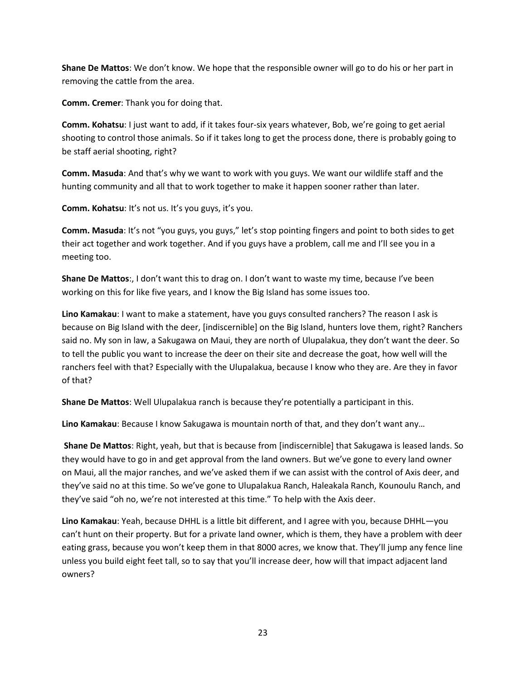**Shane De Mattos**: We don't know. We hope that the responsible owner will go to do his or her part in removing the cattle from the area.

**Comm. Cremer**: Thank you for doing that.

**Comm. Kohatsu**: I just want to add, if it takes four-six years whatever, Bob, we're going to get aerial shooting to control those animals. So if it takes long to get the process done, there is probably going to be staff aerial shooting, right?

**Comm. Masuda**: And that's why we want to work with you guys. We want our wildlife staff and the hunting community and all that to work together to make it happen sooner rather than later.

**Comm. Kohatsu**: It's not us. It's you guys, it's you.

**Comm. Masuda**: It's not "you guys, you guys," let's stop pointing fingers and point to both sides to get their act together and work together. And if you guys have a problem, call me and I'll see you in a meeting too.

**Shane De Mattos**:, I don't want this to drag on. I don't want to waste my time, because I've been working on this for like five years, and I know the Big Island has some issues too.

**Lino Kamakau**: I want to make a statement, have you guys consulted ranchers? The reason I ask is because on Big Island with the deer, [indiscernible] on the Big Island, hunters love them, right? Ranchers said no. My son in law, a Sakugawa on Maui, they are north of Ulupalakua, they don't want the deer. So to tell the public you want to increase the deer on their site and decrease the goat, how well will the ranchers feel with that? Especially with the Ulupalakua, because I know who they are. Are they in favor of that?

**Shane De Mattos**: Well Ulupalakua ranch is because they're potentially a participant in this.

**Lino Kamakau**: Because I know Sakugawa is mountain north of that, and they don't want any…

**Shane De Mattos**: Right, yeah, but that is because from [indiscernible] that Sakugawa is leased lands. So they would have to go in and get approval from the land owners. But we've gone to every land owner on Maui, all the major ranches, and we've asked them if we can assist with the control of Axis deer, and they've said no at this time. So we've gone to Ulupalakua Ranch, Haleakala Ranch, Kounoulu Ranch, and they've said "oh no, we're not interested at this time." To help with the Axis deer.

**Lino Kamakau**: Yeah, because DHHL is a little bit different, and I agree with you, because DHHL—you can't hunt on their property. But for a private land owner, which is them, they have a problem with deer eating grass, because you won't keep them in that 8000 acres, we know that. They'll jump any fence line unless you build eight feet tall, so to say that you'll increase deer, how will that impact adjacent land owners?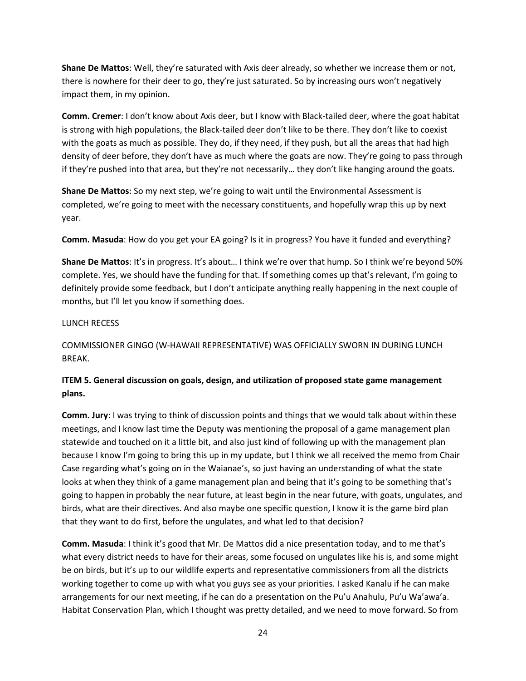**Shane De Mattos**: Well, they're saturated with Axis deer already, so whether we increase them or not, there is nowhere for their deer to go, they're just saturated. So by increasing ours won't negatively impact them, in my opinion.

**Comm. Cremer**: I don't know about Axis deer, but I know with Black-tailed deer, where the goat habitat is strong with high populations, the Black-tailed deer don't like to be there. They don't like to coexist with the goats as much as possible. They do, if they need, if they push, but all the areas that had high density of deer before, they don't have as much where the goats are now. They're going to pass through if they're pushed into that area, but they're not necessarily… they don't like hanging around the goats.

**Shane De Mattos**: So my next step, we're going to wait until the Environmental Assessment is completed, we're going to meet with the necessary constituents, and hopefully wrap this up by next year.

**Comm. Masuda**: How do you get your EA going? Is it in progress? You have it funded and everything?

**Shane De Mattos**: It's in progress. It's about… I think we're over that hump. So I think we're beyond 50% complete. Yes, we should have the funding for that. If something comes up that's relevant, I'm going to definitely provide some feedback, but I don't anticipate anything really happening in the next couple of months, but I'll let you know if something does.

### LUNCH RECESS

COMMISSIONER GINGO (W-HAWAII REPRESENTATIVE) WAS OFFICIALLY SWORN IN DURING LUNCH BREAK.

# **ITEM 5. General discussion on goals, design, and utilization of proposed state game management plans.**

**Comm. Jury**: I was trying to think of discussion points and things that we would talk about within these meetings, and I know last time the Deputy was mentioning the proposal of a game management plan statewide and touched on it a little bit, and also just kind of following up with the management plan because I know I'm going to bring this up in my update, but I think we all received the memo from Chair Case regarding what's going on in the Waianae's, so just having an understanding of what the state looks at when they think of a game management plan and being that it's going to be something that's going to happen in probably the near future, at least begin in the near future, with goats, ungulates, and birds, what are their directives. And also maybe one specific question, I know it is the game bird plan that they want to do first, before the ungulates, and what led to that decision?

**Comm. Masuda**: I think it's good that Mr. De Mattos did a nice presentation today, and to me that's what every district needs to have for their areas, some focused on ungulates like his is, and some might be on birds, but it's up to our wildlife experts and representative commissioners from all the districts working together to come up with what you guys see as your priorities. I asked Kanalu if he can make arrangements for our next meeting, if he can do a presentation on the Pu'u Anahulu, Pu'u Wa'awa'a. Habitat Conservation Plan, which I thought was pretty detailed, and we need to move forward. So from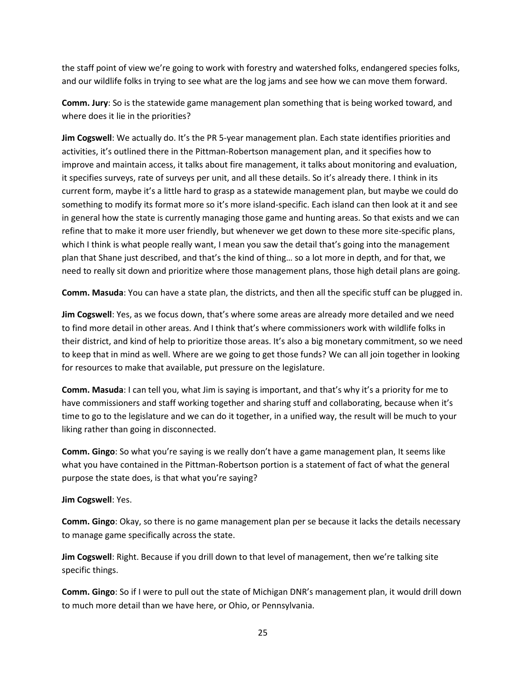the staff point of view we're going to work with forestry and watershed folks, endangered species folks, and our wildlife folks in trying to see what are the log jams and see how we can move them forward.

**Comm. Jury**: So is the statewide game management plan something that is being worked toward, and where does it lie in the priorities?

**Jim Cogswell**: We actually do. It's the PR 5-year management plan. Each state identifies priorities and activities, it's outlined there in the Pittman-Robertson management plan, and it specifies how to improve and maintain access, it talks about fire management, it talks about monitoring and evaluation, it specifies surveys, rate of surveys per unit, and all these details. So it's already there. I think in its current form, maybe it's a little hard to grasp as a statewide management plan, but maybe we could do something to modify its format more so it's more island-specific. Each island can then look at it and see in general how the state is currently managing those game and hunting areas. So that exists and we can refine that to make it more user friendly, but whenever we get down to these more site-specific plans, which I think is what people really want, I mean you saw the detail that's going into the management plan that Shane just described, and that's the kind of thing… so a lot more in depth, and for that, we need to really sit down and prioritize where those management plans, those high detail plans are going.

**Comm. Masuda**: You can have a state plan, the districts, and then all the specific stuff can be plugged in.

**Jim Cogswell**: Yes, as we focus down, that's where some areas are already more detailed and we need to find more detail in other areas. And I think that's where commissioners work with wildlife folks in their district, and kind of help to prioritize those areas. It's also a big monetary commitment, so we need to keep that in mind as well. Where are we going to get those funds? We can all join together in looking for resources to make that available, put pressure on the legislature.

**Comm. Masuda**: I can tell you, what Jim is saying is important, and that's why it's a priority for me to have commissioners and staff working together and sharing stuff and collaborating, because when it's time to go to the legislature and we can do it together, in a unified way, the result will be much to your liking rather than going in disconnected.

**Comm. Gingo**: So what you're saying is we really don't have a game management plan, It seems like what you have contained in the Pittman-Robertson portion is a statement of fact of what the general purpose the state does, is that what you're saying?

**Jim Cogswell**: Yes.

**Comm. Gingo**: Okay, so there is no game management plan per se because it lacks the details necessary to manage game specifically across the state.

**Jim Cogswell**: Right. Because if you drill down to that level of management, then we're talking site specific things.

**Comm. Gingo**: So if I were to pull out the state of Michigan DNR's management plan, it would drill down to much more detail than we have here, or Ohio, or Pennsylvania.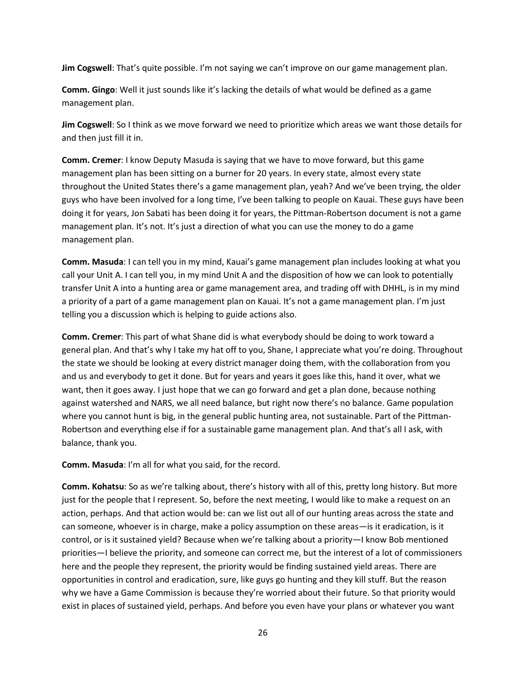**Jim Cogswell**: That's quite possible. I'm not saying we can't improve on our game management plan.

**Comm. Gingo**: Well it just sounds like it's lacking the details of what would be defined as a game management plan.

**Jim Cogswell**: So I think as we move forward we need to prioritize which areas we want those details for and then just fill it in.

**Comm. Cremer**: I know Deputy Masuda is saying that we have to move forward, but this game management plan has been sitting on a burner for 20 years. In every state, almost every state throughout the United States there's a game management plan, yeah? And we've been trying, the older guys who have been involved for a long time, I've been talking to people on Kauai. These guys have been doing it for years, Jon Sabati has been doing it for years, the Pittman-Robertson document is not a game management plan. It's not. It's just a direction of what you can use the money to do a game management plan.

**Comm. Masuda**: I can tell you in my mind, Kauai's game management plan includes looking at what you call your Unit A. I can tell you, in my mind Unit A and the disposition of how we can look to potentially transfer Unit A into a hunting area or game management area, and trading off with DHHL, is in my mind a priority of a part of a game management plan on Kauai. It's not a game management plan. I'm just telling you a discussion which is helping to guide actions also.

**Comm. Cremer**: This part of what Shane did is what everybody should be doing to work toward a general plan. And that's why I take my hat off to you, Shane, I appreciate what you're doing. Throughout the state we should be looking at every district manager doing them, with the collaboration from you and us and everybody to get it done. But for years and years it goes like this, hand it over, what we want, then it goes away. I just hope that we can go forward and get a plan done, because nothing against watershed and NARS, we all need balance, but right now there's no balance. Game population where you cannot hunt is big, in the general public hunting area, not sustainable. Part of the Pittman-Robertson and everything else if for a sustainable game management plan. And that's all I ask, with balance, thank you.

**Comm. Masuda**: I'm all for what you said, for the record.

**Comm. Kohatsu**: So as we're talking about, there's history with all of this, pretty long history. But more just for the people that I represent. So, before the next meeting, I would like to make a request on an action, perhaps. And that action would be: can we list out all of our hunting areas across the state and can someone, whoever is in charge, make a policy assumption on these areas—is it eradication, is it control, or is it sustained yield? Because when we're talking about a priority—I know Bob mentioned priorities—I believe the priority, and someone can correct me, but the interest of a lot of commissioners here and the people they represent, the priority would be finding sustained yield areas. There are opportunities in control and eradication, sure, like guys go hunting and they kill stuff. But the reason why we have a Game Commission is because they're worried about their future. So that priority would exist in places of sustained yield, perhaps. And before you even have your plans or whatever you want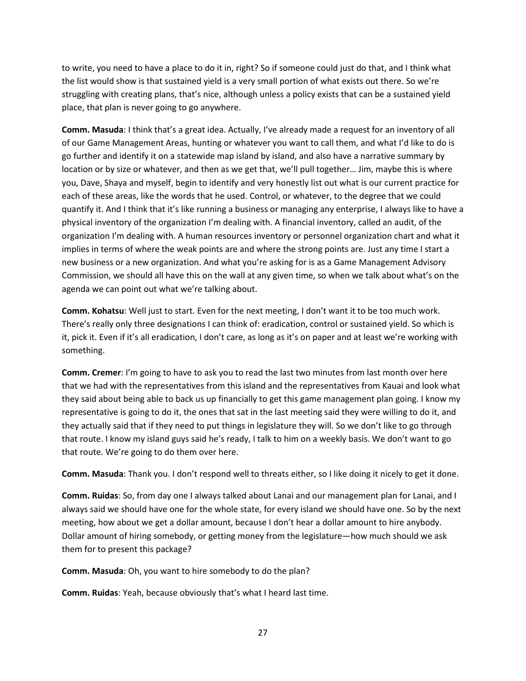to write, you need to have a place to do it in, right? So if someone could just do that, and I think what the list would show is that sustained yield is a very small portion of what exists out there. So we're struggling with creating plans, that's nice, although unless a policy exists that can be a sustained yield place, that plan is never going to go anywhere.

**Comm. Masuda**: I think that's a great idea. Actually, I've already made a request for an inventory of all of our Game Management Areas, hunting or whatever you want to call them, and what I'd like to do is go further and identify it on a statewide map island by island, and also have a narrative summary by location or by size or whatever, and then as we get that, we'll pull together… Jim, maybe this is where you, Dave, Shaya and myself, begin to identify and very honestly list out what is our current practice for each of these areas, like the words that he used. Control, or whatever, to the degree that we could quantify it. And I think that it's like running a business or managing any enterprise, I always like to have a physical inventory of the organization I'm dealing with. A financial inventory, called an audit, of the organization I'm dealing with. A human resources inventory or personnel organization chart and what it implies in terms of where the weak points are and where the strong points are. Just any time I start a new business or a new organization. And what you're asking for is as a Game Management Advisory Commission, we should all have this on the wall at any given time, so when we talk about what's on the agenda we can point out what we're talking about.

**Comm. Kohatsu**: Well just to start. Even for the next meeting, I don't want it to be too much work. There's really only three designations I can think of: eradication, control or sustained yield. So which is it, pick it. Even if it's all eradication, I don't care, as long as it's on paper and at least we're working with something.

**Comm. Cremer**: I'm going to have to ask you to read the last two minutes from last month over here that we had with the representatives from this island and the representatives from Kauai and look what they said about being able to back us up financially to get this game management plan going. I know my representative is going to do it, the ones that sat in the last meeting said they were willing to do it, and they actually said that if they need to put things in legislature they will. So we don't like to go through that route. I know my island guys said he's ready, I talk to him on a weekly basis. We don't want to go that route. We're going to do them over here.

**Comm. Masuda**: Thank you. I don't respond well to threats either, so I like doing it nicely to get it done.

**Comm. Ruidas**: So, from day one I always talked about Lanai and our management plan for Lanai, and I always said we should have one for the whole state, for every island we should have one. So by the next meeting, how about we get a dollar amount, because I don't hear a dollar amount to hire anybody. Dollar amount of hiring somebody, or getting money from the legislature—how much should we ask them for to present this package?

**Comm. Masuda**: Oh, you want to hire somebody to do the plan?

**Comm. Ruidas**: Yeah, because obviously that's what I heard last time.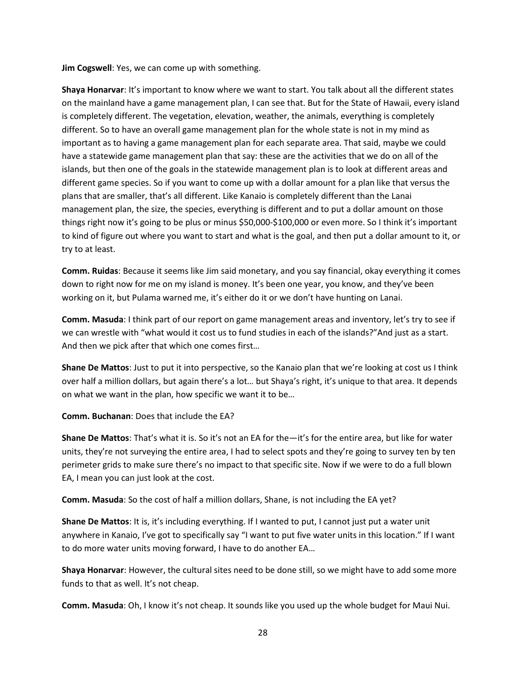**Jim Cogswell**: Yes, we can come up with something.

**Shaya Honarvar**: It's important to know where we want to start. You talk about all the different states on the mainland have a game management plan, I can see that. But for the State of Hawaii, every island is completely different. The vegetation, elevation, weather, the animals, everything is completely different. So to have an overall game management plan for the whole state is not in my mind as important as to having a game management plan for each separate area. That said, maybe we could have a statewide game management plan that say: these are the activities that we do on all of the islands, but then one of the goals in the statewide management plan is to look at different areas and different game species. So if you want to come up with a dollar amount for a plan like that versus the plans that are smaller, that's all different. Like Kanaio is completely different than the Lanai management plan, the size, the species, everything is different and to put a dollar amount on those things right now it's going to be plus or minus \$50,000-\$100,000 or even more. So I think it's important to kind of figure out where you want to start and what is the goal, and then put a dollar amount to it, or try to at least.

**Comm. Ruidas**: Because it seems like Jim said monetary, and you say financial, okay everything it comes down to right now for me on my island is money. It's been one year, you know, and they've been working on it, but Pulama warned me, it's either do it or we don't have hunting on Lanai.

**Comm. Masuda**: I think part of our report on game management areas and inventory, let's try to see if we can wrestle with "what would it cost us to fund studies in each of the islands?"And just as a start. And then we pick after that which one comes first…

**Shane De Mattos**: Just to put it into perspective, so the Kanaio plan that we're looking at cost us I think over half a million dollars, but again there's a lot… but Shaya's right, it's unique to that area. It depends on what we want in the plan, how specific we want it to be…

**Comm. Buchanan**: Does that include the EA?

**Shane De Mattos**: That's what it is. So it's not an EA for the—it's for the entire area, but like for water units, they're not surveying the entire area, I had to select spots and they're going to survey ten by ten perimeter grids to make sure there's no impact to that specific site. Now if we were to do a full blown EA, I mean you can just look at the cost.

**Comm. Masuda**: So the cost of half a million dollars, Shane, is not including the EA yet?

**Shane De Mattos**: It is, it's including everything. If I wanted to put, I cannot just put a water unit anywhere in Kanaio, I've got to specifically say "I want to put five water units in this location." If I want to do more water units moving forward, I have to do another EA…

**Shaya Honarvar**: However, the cultural sites need to be done still, so we might have to add some more funds to that as well. It's not cheap.

**Comm. Masuda**: Oh, I know it's not cheap. It sounds like you used up the whole budget for Maui Nui.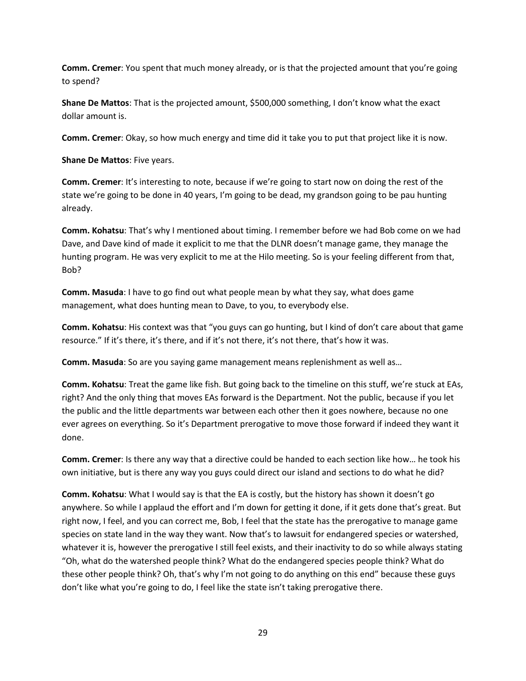**Comm. Cremer**: You spent that much money already, or is that the projected amount that you're going to spend?

**Shane De Mattos**: That is the projected amount, \$500,000 something, I don't know what the exact dollar amount is.

**Comm. Cremer**: Okay, so how much energy and time did it take you to put that project like it is now.

**Shane De Mattos**: Five years.

**Comm. Cremer**: It's interesting to note, because if we're going to start now on doing the rest of the state we're going to be done in 40 years, I'm going to be dead, my grandson going to be pau hunting already.

**Comm. Kohatsu**: That's why I mentioned about timing. I remember before we had Bob come on we had Dave, and Dave kind of made it explicit to me that the DLNR doesn't manage game, they manage the hunting program. He was very explicit to me at the Hilo meeting. So is your feeling different from that, Bob?

**Comm. Masuda**: I have to go find out what people mean by what they say, what does game management, what does hunting mean to Dave, to you, to everybody else.

**Comm. Kohatsu**: His context was that "you guys can go hunting, but I kind of don't care about that game resource." If it's there, it's there, and if it's not there, it's not there, that's how it was.

**Comm. Masuda**: So are you saying game management means replenishment as well as…

**Comm. Kohatsu**: Treat the game like fish. But going back to the timeline on this stuff, we're stuck at EAs, right? And the only thing that moves EAs forward is the Department. Not the public, because if you let the public and the little departments war between each other then it goes nowhere, because no one ever agrees on everything. So it's Department prerogative to move those forward if indeed they want it done.

**Comm. Cremer**: Is there any way that a directive could be handed to each section like how… he took his own initiative, but is there any way you guys could direct our island and sections to do what he did?

**Comm. Kohatsu**: What I would say is that the EA is costly, but the history has shown it doesn't go anywhere. So while I applaud the effort and I'm down for getting it done, if it gets done that's great. But right now, I feel, and you can correct me, Bob, I feel that the state has the prerogative to manage game species on state land in the way they want. Now that's to lawsuit for endangered species or watershed, whatever it is, however the prerogative I still feel exists, and their inactivity to do so while always stating "Oh, what do the watershed people think? What do the endangered species people think? What do these other people think? Oh, that's why I'm not going to do anything on this end" because these guys don't like what you're going to do, I feel like the state isn't taking prerogative there.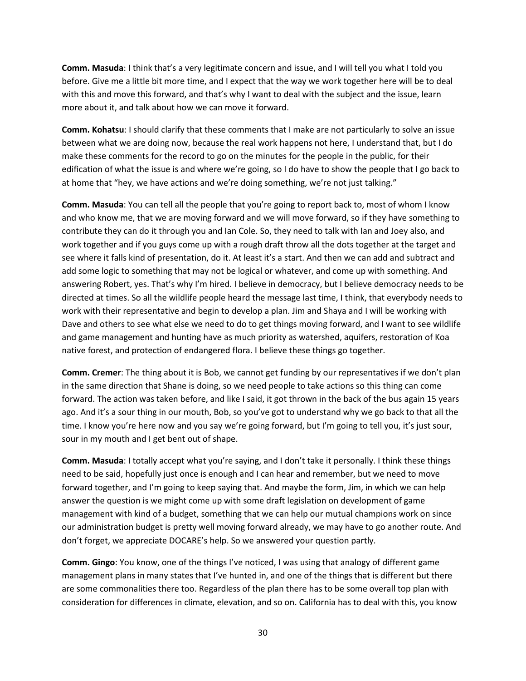**Comm. Masuda**: I think that's a very legitimate concern and issue, and I will tell you what I told you before. Give me a little bit more time, and I expect that the way we work together here will be to deal with this and move this forward, and that's why I want to deal with the subject and the issue, learn more about it, and talk about how we can move it forward.

**Comm. Kohatsu**: I should clarify that these comments that I make are not particularly to solve an issue between what we are doing now, because the real work happens not here, I understand that, but I do make these comments for the record to go on the minutes for the people in the public, for their edification of what the issue is and where we're going, so I do have to show the people that I go back to at home that "hey, we have actions and we're doing something, we're not just talking."

**Comm. Masuda**: You can tell all the people that you're going to report back to, most of whom I know and who know me, that we are moving forward and we will move forward, so if they have something to contribute they can do it through you and Ian Cole. So, they need to talk with Ian and Joey also, and work together and if you guys come up with a rough draft throw all the dots together at the target and see where it falls kind of presentation, do it. At least it's a start. And then we can add and subtract and add some logic to something that may not be logical or whatever, and come up with something. And answering Robert, yes. That's why I'm hired. I believe in democracy, but I believe democracy needs to be directed at times. So all the wildlife people heard the message last time, I think, that everybody needs to work with their representative and begin to develop a plan. Jim and Shaya and I will be working with Dave and others to see what else we need to do to get things moving forward, and I want to see wildlife and game management and hunting have as much priority as watershed, aquifers, restoration of Koa native forest, and protection of endangered flora. I believe these things go together.

**Comm. Cremer**: The thing about it is Bob, we cannot get funding by our representatives if we don't plan in the same direction that Shane is doing, so we need people to take actions so this thing can come forward. The action was taken before, and like I said, it got thrown in the back of the bus again 15 years ago. And it's a sour thing in our mouth, Bob, so you've got to understand why we go back to that all the time. I know you're here now and you say we're going forward, but I'm going to tell you, it's just sour, sour in my mouth and I get bent out of shape.

**Comm. Masuda**: I totally accept what you're saying, and I don't take it personally. I think these things need to be said, hopefully just once is enough and I can hear and remember, but we need to move forward together, and I'm going to keep saying that. And maybe the form, Jim, in which we can help answer the question is we might come up with some draft legislation on development of game management with kind of a budget, something that we can help our mutual champions work on since our administration budget is pretty well moving forward already, we may have to go another route. And don't forget, we appreciate DOCARE's help. So we answered your question partly.

**Comm. Gingo**: You know, one of the things I've noticed, I was using that analogy of different game management plans in many states that I've hunted in, and one of the things that is different but there are some commonalities there too. Regardless of the plan there has to be some overall top plan with consideration for differences in climate, elevation, and so on. California has to deal with this, you know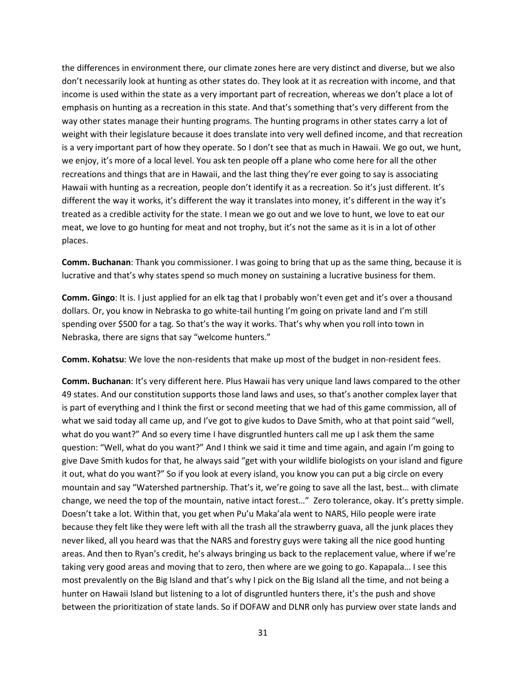the differences in environment there, our climate zones here are very distinct and diverse, but we also don't necessarily look at hunting as other states do. They look at it as recreation with income, and that income is used within the state as a very important part of recreation, whereas we don't place a lot of emphasis on hunting as a recreation in this state. And that's something that's very different from the way other states manage their hunting programs. The hunting programs in other states carry a lot of weight with their legislature because it does translate into very well defined income, and that recreation is a very important part of how they operate. So I don't see that as much in Hawaii. We go out, we hunt, we enjoy, it's more of a local level. You ask ten people off a plane who come here for all the other recreations and things that are in Hawaii, and the last thing they're ever going to say is associating Hawaii with hunting as a recreation, people don't identify it as a recreation. So it's just different. It's different the way it works, it's different the way it translates into money, it's different in the way it's treated as a credible activity for the state. I mean we go out and we love to hunt, we love to eat our meat, we love to go hunting for meat and not trophy, but it's not the same as it is in a lot of other places.

**Comm. Buchanan**: Thank you commissioner. I was going to bring that up as the same thing, because it is lucrative and that's why states spend so much money on sustaining a lucrative business for them.

**Comm. Gingo**: It is. I just applied for an elk tag that I probably won't even get and it's over a thousand dollars. Or, you know in Nebraska to go white-tail hunting I'm going on private land and I'm still spending over \$500 for a tag. So that's the way it works. That's why when you roll into town in Nebraska, there are signs that say "welcome hunters."

**Comm. Kohatsu**: We love the non-residents that make up most of the budget in non-resident fees.

**Comm. Buchanan**: It's very different here. Plus Hawaii has very unique land laws compared to the other 49 states. And our constitution supports those land laws and uses, so that's another complex layer that is part of everything and I think the first or second meeting that we had of this game commission, all of what we said today all came up, and I've got to give kudos to Dave Smith, who at that point said "well, what do you want?" And so every time I have disgruntled hunters call me up I ask them the same question: "Well, what do you want?" And I think we said it time and time again, and again I'm going to give Dave Smith kudos for that, he always said "get with your wildlife biologists on your island and figure it out, what do you want?" So if you look at every island, you know you can put a big circle on every mountain and say "Watershed partnership. That's it, we're going to save all the last, best… with climate change, we need the top of the mountain, native intact forest…" Zero tolerance, okay. It's pretty simple. Doesn't take a lot. Within that, you get when Pu'u Maka'ala went to NARS, Hilo people were irate because they felt like they were left with all the trash all the strawberry guava, all the junk places they never liked, all you heard was that the NARS and forestry guys were taking all the nice good hunting areas. And then to Ryan's credit, he's always bringing us back to the replacement value, where if we're taking very good areas and moving that to zero, then where are we going to go. Kapapala… I see this most prevalently on the Big Island and that's why I pick on the Big Island all the time, and not being a hunter on Hawaii Island but listening to a lot of disgruntled hunters there, it's the push and shove between the prioritization of state lands. So if DOFAW and DLNR only has purview over state lands and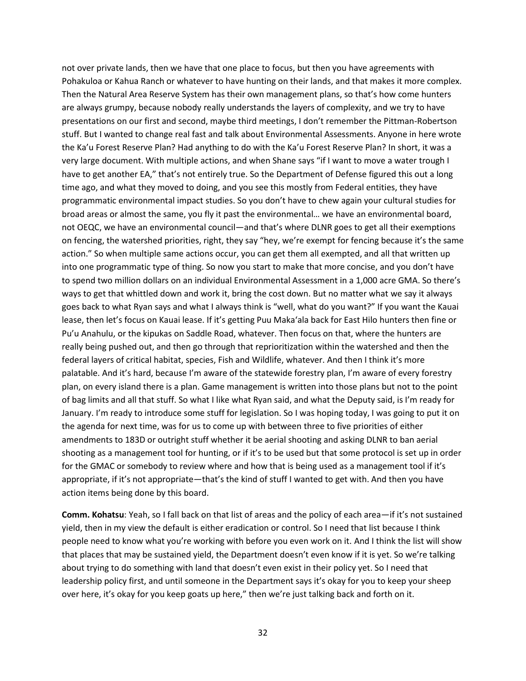not over private lands, then we have that one place to focus, but then you have agreements with Pohakuloa or Kahua Ranch or whatever to have hunting on their lands, and that makes it more complex. Then the Natural Area Reserve System has their own management plans, so that's how come hunters are always grumpy, because nobody really understands the layers of complexity, and we try to have presentations on our first and second, maybe third meetings, I don't remember the Pittman-Robertson stuff. But I wanted to change real fast and talk about Environmental Assessments. Anyone in here wrote the Ka'u Forest Reserve Plan? Had anything to do with the Ka'u Forest Reserve Plan? In short, it was a very large document. With multiple actions, and when Shane says "if I want to move a water trough I have to get another EA," that's not entirely true. So the Department of Defense figured this out a long time ago, and what they moved to doing, and you see this mostly from Federal entities, they have programmatic environmental impact studies. So you don't have to chew again your cultural studies for broad areas or almost the same, you fly it past the environmental… we have an environmental board, not OEQC, we have an environmental council—and that's where DLNR goes to get all their exemptions on fencing, the watershed priorities, right, they say "hey, we're exempt for fencing because it's the same action." So when multiple same actions occur, you can get them all exempted, and all that written up into one programmatic type of thing. So now you start to make that more concise, and you don't have to spend two million dollars on an individual Environmental Assessment in a 1,000 acre GMA. So there's ways to get that whittled down and work it, bring the cost down. But no matter what we say it always goes back to what Ryan says and what I always think is "well, what do you want?" If you want the Kauai lease, then let's focus on Kauai lease. If it's getting Puu Maka'ala back for East Hilo hunters then fine or Pu'u Anahulu, or the kipukas on Saddle Road, whatever. Then focus on that, where the hunters are really being pushed out, and then go through that reprioritization within the watershed and then the federal layers of critical habitat, species, Fish and Wildlife, whatever. And then I think it's more palatable. And it's hard, because I'm aware of the statewide forestry plan, I'm aware of every forestry plan, on every island there is a plan. Game management is written into those plans but not to the point of bag limits and all that stuff. So what I like what Ryan said, and what the Deputy said, is I'm ready for January. I'm ready to introduce some stuff for legislation. So I was hoping today, I was going to put it on the agenda for next time, was for us to come up with between three to five priorities of either amendments to 183D or outright stuff whether it be aerial shooting and asking DLNR to ban aerial shooting as a management tool for hunting, or if it's to be used but that some protocol is set up in order for the GMAC or somebody to review where and how that is being used as a management tool if it's appropriate, if it's not appropriate—that's the kind of stuff I wanted to get with. And then you have action items being done by this board.

**Comm. Kohatsu**: Yeah, so I fall back on that list of areas and the policy of each area—if it's not sustained yield, then in my view the default is either eradication or control. So I need that list because I think people need to know what you're working with before you even work on it. And I think the list will show that places that may be sustained yield, the Department doesn't even know if it is yet. So we're talking about trying to do something with land that doesn't even exist in their policy yet. So I need that leadership policy first, and until someone in the Department says it's okay for you to keep your sheep over here, it's okay for you keep goats up here," then we're just talking back and forth on it.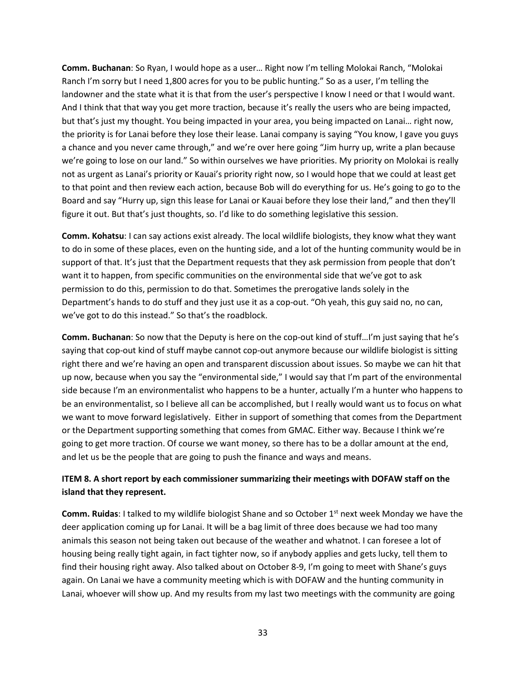**Comm. Buchanan**: So Ryan, I would hope as a user… Right now I'm telling Molokai Ranch, "Molokai Ranch I'm sorry but I need 1,800 acres for you to be public hunting." So as a user, I'm telling the landowner and the state what it is that from the user's perspective I know I need or that I would want. And I think that that way you get more traction, because it's really the users who are being impacted, but that's just my thought. You being impacted in your area, you being impacted on Lanai… right now, the priority is for Lanai before they lose their lease. Lanai company is saying "You know, I gave you guys a chance and you never came through," and we're over here going "Jim hurry up, write a plan because we're going to lose on our land." So within ourselves we have priorities. My priority on Molokai is really not as urgent as Lanai's priority or Kauai's priority right now, so I would hope that we could at least get to that point and then review each action, because Bob will do everything for us. He's going to go to the Board and say "Hurry up, sign this lease for Lanai or Kauai before they lose their land," and then they'll figure it out. But that's just thoughts, so. I'd like to do something legislative this session.

**Comm. Kohatsu**: I can say actions exist already. The local wildlife biologists, they know what they want to do in some of these places, even on the hunting side, and a lot of the hunting community would be in support of that. It's just that the Department requests that they ask permission from people that don't want it to happen, from specific communities on the environmental side that we've got to ask permission to do this, permission to do that. Sometimes the prerogative lands solely in the Department's hands to do stuff and they just use it as a cop-out. "Oh yeah, this guy said no, no can, we've got to do this instead." So that's the roadblock.

**Comm. Buchanan**: So now that the Deputy is here on the cop-out kind of stuff…I'm just saying that he's saying that cop-out kind of stuff maybe cannot cop-out anymore because our wildlife biologist is sitting right there and we're having an open and transparent discussion about issues. So maybe we can hit that up now, because when you say the "environmental side," I would say that I'm part of the environmental side because I'm an environmentalist who happens to be a hunter, actually I'm a hunter who happens to be an environmentalist, so I believe all can be accomplished, but I really would want us to focus on what we want to move forward legislatively. Either in support of something that comes from the Department or the Department supporting something that comes from GMAC. Either way. Because I think we're going to get more traction. Of course we want money, so there has to be a dollar amount at the end, and let us be the people that are going to push the finance and ways and means.

## **ITEM 8. A short report by each commissioner summarizing their meetings with DOFAW staff on the island that they represent.**

**Comm. Ruidas**: I talked to my wildlife biologist Shane and so October 1<sup>st</sup> next week Monday we have the deer application coming up for Lanai. It will be a bag limit of three does because we had too many animals this season not being taken out because of the weather and whatnot. I can foresee a lot of housing being really tight again, in fact tighter now, so if anybody applies and gets lucky, tell them to find their housing right away. Also talked about on October 8-9, I'm going to meet with Shane's guys again. On Lanai we have a community meeting which is with DOFAW and the hunting community in Lanai, whoever will show up. And my results from my last two meetings with the community are going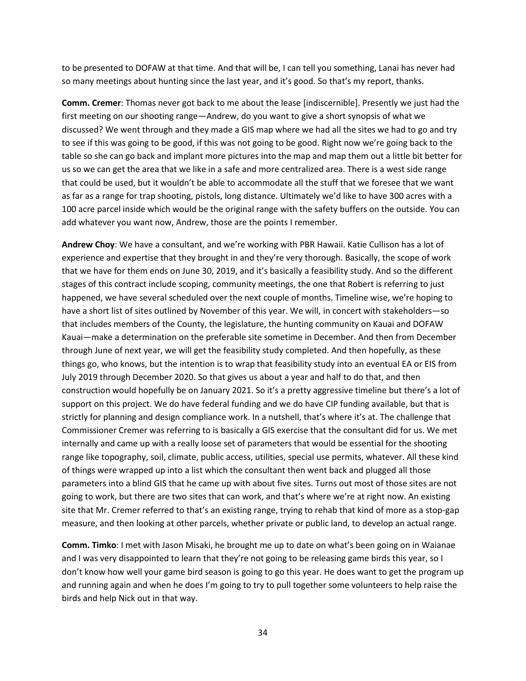to be presented to DOFAW at that time. And that will be, I can tell you something, Lanai has never had so many meetings about hunting since the last year, and it's good. So that's my report, thanks.

**Comm. Cremer**: Thomas never got back to me about the lease [indiscernible]. Presently we just had the first meeting on our shooting range—Andrew, do you want to give a short synopsis of what we discussed? We went through and they made a GIS map where we had all the sites we had to go and try to see if this was going to be good, if this was not going to be good. Right now we're going back to the table so she can go back and implant more pictures into the map and map them out a little bit better for us so we can get the area that we like in a safe and more centralized area. There is a west side range that could be used, but it wouldn't be able to accommodate all the stuff that we foresee that we want as far as a range for trap shooting, pistols, long distance. Ultimately we'd like to have 300 acres with a 100 acre parcel inside which would be the original range with the safety buffers on the outside. You can add whatever you want now, Andrew, those are the points I remember.

**Andrew Choy**: We have a consultant, and we're working with PBR Hawaii. Katie Cullison has a lot of experience and expertise that they brought in and they're very thorough. Basically, the scope of work that we have for them ends on June 30, 2019, and it's basically a feasibility study. And so the different stages of this contract include scoping, community meetings, the one that Robert is referring to just happened, we have several scheduled over the next couple of months. Timeline wise, we're hoping to have a short list of sites outlined by November of this year. We will, in concert with stakeholders—so that includes members of the County, the legislature, the hunting community on Kauai and DOFAW Kauai—make a determination on the preferable site sometime in December. And then from December through June of next year, we will get the feasibility study completed. And then hopefully, as these things go, who knows, but the intention is to wrap that feasibility study into an eventual EA or EIS from July 2019 through December 2020. So that gives us about a year and half to do that, and then construction would hopefully be on January 2021. So it's a pretty aggressive timeline but there's a lot of support on this project. We do have federal funding and we do have CIP funding available, but that is strictly for planning and design compliance work. In a nutshell, that's where it's at. The challenge that Commissioner Cremer was referring to is basically a GIS exercise that the consultant did for us. We met internally and came up with a really loose set of parameters that would be essential for the shooting range like topography, soil, climate, public access, utilities, special use permits, whatever. All these kind of things were wrapped up into a list which the consultant then went back and plugged all those parameters into a blind GIS that he came up with about five sites. Turns out most of those sites are not going to work, but there are two sites that can work, and that's where we're at right now. An existing site that Mr. Cremer referred to that's an existing range, trying to rehab that kind of more as a stop-gap measure, and then looking at other parcels, whether private or public land, to develop an actual range.

**Comm. Timko**: I met with Jason Misaki, he brought me up to date on what's been going on in Waianae and I was very disappointed to learn that they're not going to be releasing game birds this year, so I don't know how well your game bird season is going to go this year. He does want to get the program up and running again and when he does I'm going to try to pull together some volunteers to help raise the birds and help Nick out in that way.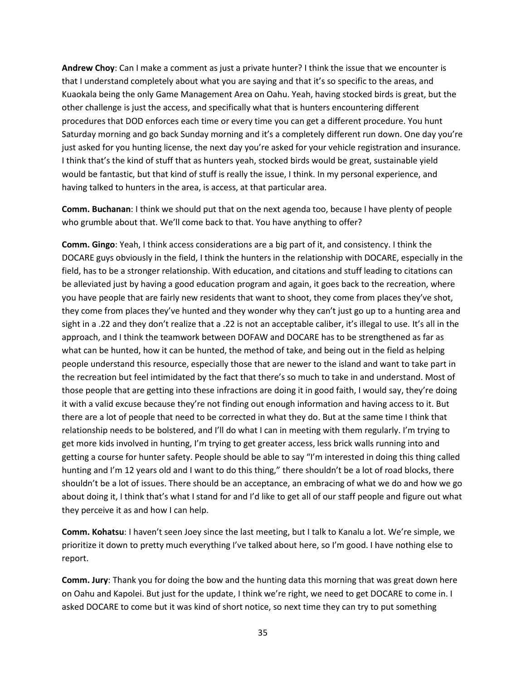**Andrew Choy**: Can I make a comment as just a private hunter? I think the issue that we encounter is that I understand completely about what you are saying and that it's so specific to the areas, and Kuaokala being the only Game Management Area on Oahu. Yeah, having stocked birds is great, but the other challenge is just the access, and specifically what that is hunters encountering different procedures that DOD enforces each time or every time you can get a different procedure. You hunt Saturday morning and go back Sunday morning and it's a completely different run down. One day you're just asked for you hunting license, the next day you're asked for your vehicle registration and insurance. I think that's the kind of stuff that as hunters yeah, stocked birds would be great, sustainable yield would be fantastic, but that kind of stuff is really the issue, I think. In my personal experience, and having talked to hunters in the area, is access, at that particular area.

**Comm. Buchanan**: I think we should put that on the next agenda too, because I have plenty of people who grumble about that. We'll come back to that. You have anything to offer?

**Comm. Gingo**: Yeah, I think access considerations are a big part of it, and consistency. I think the DOCARE guys obviously in the field, I think the hunters in the relationship with DOCARE, especially in the field, has to be a stronger relationship. With education, and citations and stuff leading to citations can be alleviated just by having a good education program and again, it goes back to the recreation, where you have people that are fairly new residents that want to shoot, they come from places they've shot, they come from places they've hunted and they wonder why they can't just go up to a hunting area and sight in a .22 and they don't realize that a .22 is not an acceptable caliber, it's illegal to use. It's all in the approach, and I think the teamwork between DOFAW and DOCARE has to be strengthened as far as what can be hunted, how it can be hunted, the method of take, and being out in the field as helping people understand this resource, especially those that are newer to the island and want to take part in the recreation but feel intimidated by the fact that there's so much to take in and understand. Most of those people that are getting into these infractions are doing it in good faith, I would say, they're doing it with a valid excuse because they're not finding out enough information and having access to it. But there are a lot of people that need to be corrected in what they do. But at the same time I think that relationship needs to be bolstered, and I'll do what I can in meeting with them regularly. I'm trying to get more kids involved in hunting, I'm trying to get greater access, less brick walls running into and getting a course for hunter safety. People should be able to say "I'm interested in doing this thing called hunting and I'm 12 years old and I want to do this thing," there shouldn't be a lot of road blocks, there shouldn't be a lot of issues. There should be an acceptance, an embracing of what we do and how we go about doing it, I think that's what I stand for and I'd like to get all of our staff people and figure out what they perceive it as and how I can help.

**Comm. Kohatsu**: I haven't seen Joey since the last meeting, but I talk to Kanalu a lot. We're simple, we prioritize it down to pretty much everything I've talked about here, so I'm good. I have nothing else to report.

**Comm. Jury**: Thank you for doing the bow and the hunting data this morning that was great down here on Oahu and Kapolei. But just for the update, I think we're right, we need to get DOCARE to come in. I asked DOCARE to come but it was kind of short notice, so next time they can try to put something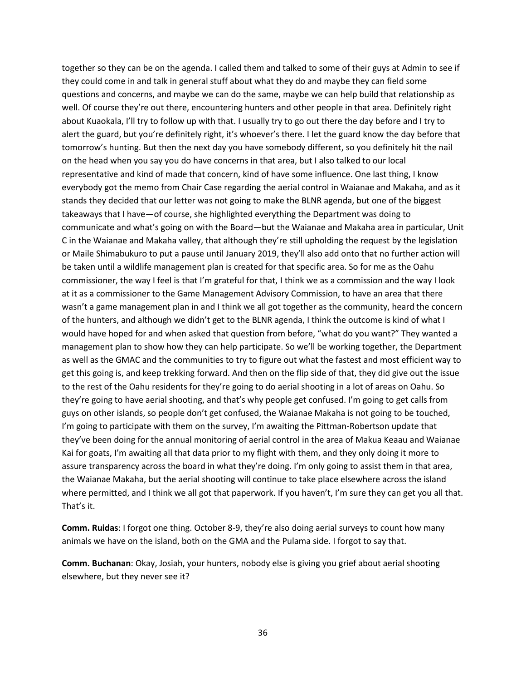together so they can be on the agenda. I called them and talked to some of their guys at Admin to see if they could come in and talk in general stuff about what they do and maybe they can field some questions and concerns, and maybe we can do the same, maybe we can help build that relationship as well. Of course they're out there, encountering hunters and other people in that area. Definitely right about Kuaokala, I'll try to follow up with that. I usually try to go out there the day before and I try to alert the guard, but you're definitely right, it's whoever's there. I let the guard know the day before that tomorrow's hunting. But then the next day you have somebody different, so you definitely hit the nail on the head when you say you do have concerns in that area, but I also talked to our local representative and kind of made that concern, kind of have some influence. One last thing, I know everybody got the memo from Chair Case regarding the aerial control in Waianae and Makaha, and as it stands they decided that our letter was not going to make the BLNR agenda, but one of the biggest takeaways that I have—of course, she highlighted everything the Department was doing to communicate and what's going on with the Board—but the Waianae and Makaha area in particular, Unit C in the Waianae and Makaha valley, that although they're still upholding the request by the legislation or Maile Shimabukuro to put a pause until January 2019, they'll also add onto that no further action will be taken until a wildlife management plan is created for that specific area. So for me as the Oahu commissioner, the way I feel is that I'm grateful for that, I think we as a commission and the way I look at it as a commissioner to the Game Management Advisory Commission, to have an area that there wasn't a game management plan in and I think we all got together as the community, heard the concern of the hunters, and although we didn't get to the BLNR agenda, I think the outcome is kind of what I would have hoped for and when asked that question from before, "what do you want?" They wanted a management plan to show how they can help participate. So we'll be working together, the Department as well as the GMAC and the communities to try to figure out what the fastest and most efficient way to get this going is, and keep trekking forward. And then on the flip side of that, they did give out the issue to the rest of the Oahu residents for they're going to do aerial shooting in a lot of areas on Oahu. So they're going to have aerial shooting, and that's why people get confused. I'm going to get calls from guys on other islands, so people don't get confused, the Waianae Makaha is not going to be touched, I'm going to participate with them on the survey, I'm awaiting the Pittman-Robertson update that they've been doing for the annual monitoring of aerial control in the area of Makua Keaau and Waianae Kai for goats, I'm awaiting all that data prior to my flight with them, and they only doing it more to assure transparency across the board in what they're doing. I'm only going to assist them in that area, the Waianae Makaha, but the aerial shooting will continue to take place elsewhere across the island where permitted, and I think we all got that paperwork. If you haven't, I'm sure they can get you all that. That's it.

**Comm. Ruidas**: I forgot one thing. October 8-9, they're also doing aerial surveys to count how many animals we have on the island, both on the GMA and the Pulama side. I forgot to say that.

**Comm. Buchanan**: Okay, Josiah, your hunters, nobody else is giving you grief about aerial shooting elsewhere, but they never see it?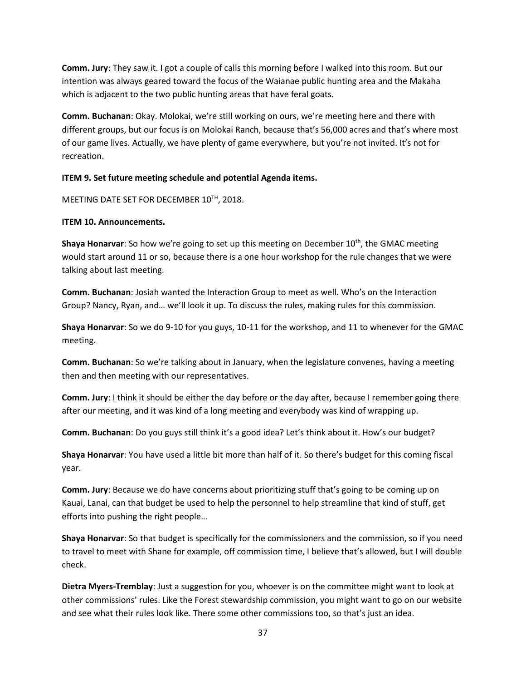**Comm. Jury**: They saw it. I got a couple of calls this morning before I walked into this room. But our intention was always geared toward the focus of the Waianae public hunting area and the Makaha which is adjacent to the two public hunting areas that have feral goats.

**Comm. Buchanan**: Okay. Molokai, we're still working on ours, we're meeting here and there with different groups, but our focus is on Molokai Ranch, because that's 56,000 acres and that's where most of our game lives. Actually, we have plenty of game everywhere, but you're not invited. It's not for recreation.

### **ITEM 9. Set future meeting schedule and potential Agenda items.**

### MEETING DATE SET FOR DECEMBER 10TH, 2018.

### **ITEM 10. Announcements.**

**Shaya Honarvar**: So how we're going to set up this meeting on December 10<sup>th</sup>, the GMAC meeting would start around 11 or so, because there is a one hour workshop for the rule changes that we were talking about last meeting.

**Comm. Buchanan**: Josiah wanted the Interaction Group to meet as well. Who's on the Interaction Group? Nancy, Ryan, and… we'll look it up. To discuss the rules, making rules for this commission.

**Shaya Honarvar**: So we do 9-10 for you guys, 10-11 for the workshop, and 11 to whenever for the GMAC meeting.

**Comm. Buchanan**: So we're talking about in January, when the legislature convenes, having a meeting then and then meeting with our representatives.

**Comm. Jury**: I think it should be either the day before or the day after, because I remember going there after our meeting, and it was kind of a long meeting and everybody was kind of wrapping up.

**Comm. Buchanan**: Do you guys still think it's a good idea? Let's think about it. How's our budget?

**Shaya Honarvar**: You have used a little bit more than half of it. So there's budget for this coming fiscal year.

**Comm. Jury**: Because we do have concerns about prioritizing stuff that's going to be coming up on Kauai, Lanai, can that budget be used to help the personnel to help streamline that kind of stuff, get efforts into pushing the right people…

**Shaya Honarvar**: So that budget is specifically for the commissioners and the commission, so if you need to travel to meet with Shane for example, off commission time, I believe that's allowed, but I will double check.

**Dietra Myers-Tremblay**: Just a suggestion for you, whoever is on the committee might want to look at other commissions' rules. Like the Forest stewardship commission, you might want to go on our website and see what their rules look like. There some other commissions too, so that's just an idea.